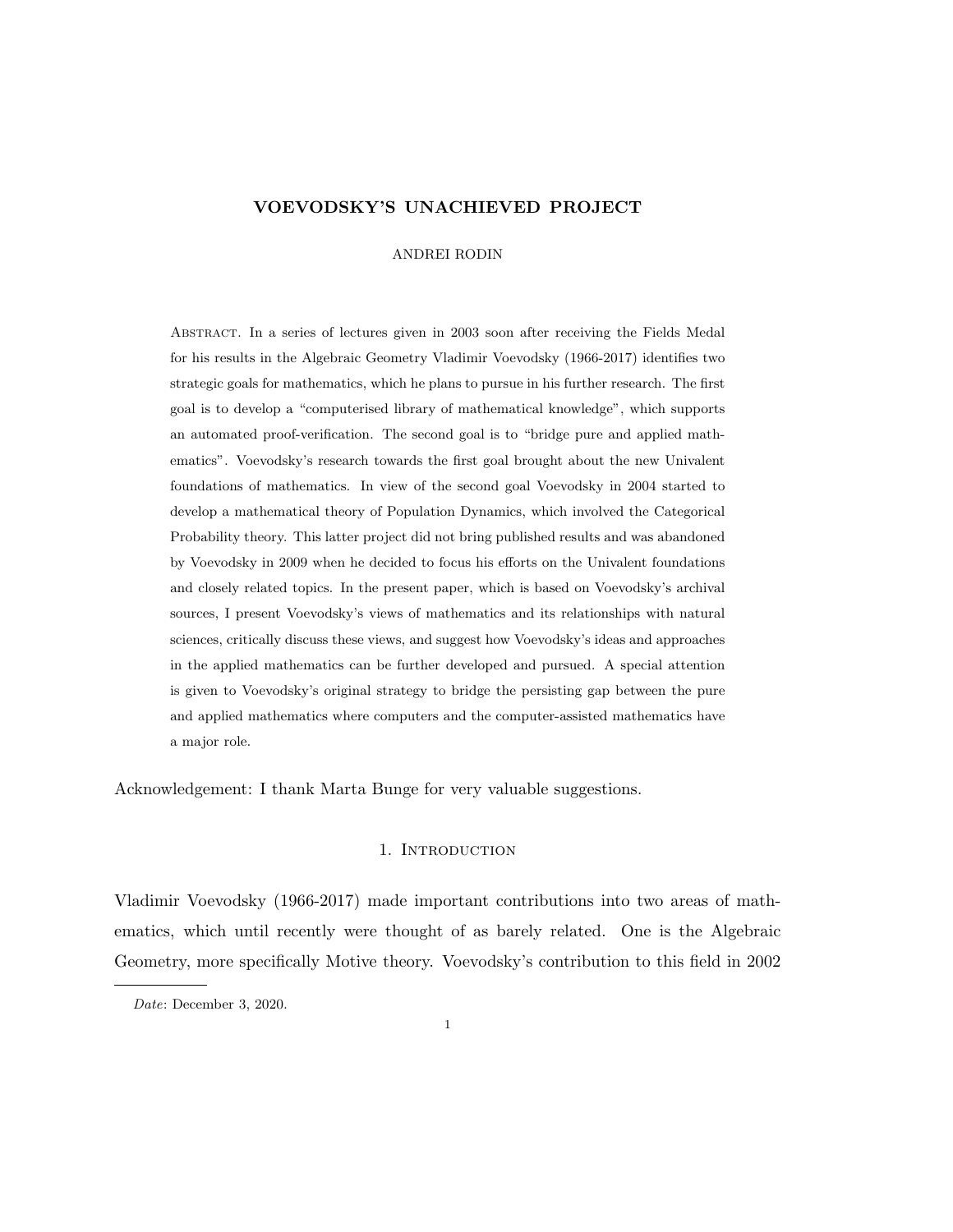# VOEVODSKY'S UNACHIEVED PROJECT

ANDREI RODIN

Abstract. In a series of lectures given in 2003 soon after receiving the Fields Medal for his results in the Algebraic Geometry Vladimir Voevodsky (1966-2017) identifies two strategic goals for mathematics, which he plans to pursue in his further research. The first goal is to develop a "computerised library of mathematical knowledge", which supports an automated proof-verification. The second goal is to "bridge pure and applied mathematics". Voevodsky's research towards the first goal brought about the new Univalent foundations of mathematics. In view of the second goal Voevodsky in 2004 started to develop a mathematical theory of Population Dynamics, which involved the Categorical Probability theory. This latter project did not bring published results and was abandoned by Voevodsky in 2009 when he decided to focus his efforts on the Univalent foundations and closely related topics. In the present paper, which is based on Voevodsky's archival sources, I present Voevodsky's views of mathematics and its relationships with natural sciences, critically discuss these views, and suggest how Voevodsky's ideas and approaches in the applied mathematics can be further developed and pursued. A special attention is given to Voevodsky's original strategy to bridge the persisting gap between the pure and applied mathematics where computers and the computer-assisted mathematics have a major role.

Acknowledgement: I thank Marta Bunge for very valuable suggestions.

### 1. INTRODUCTION

Vladimir Voevodsky (1966-2017) made important contributions into two areas of mathematics, which until recently were thought of as barely related. One is the Algebraic Geometry, more specifically Motive theory. Voevodsky's contribution to this field in 2002

Date: December 3, 2020.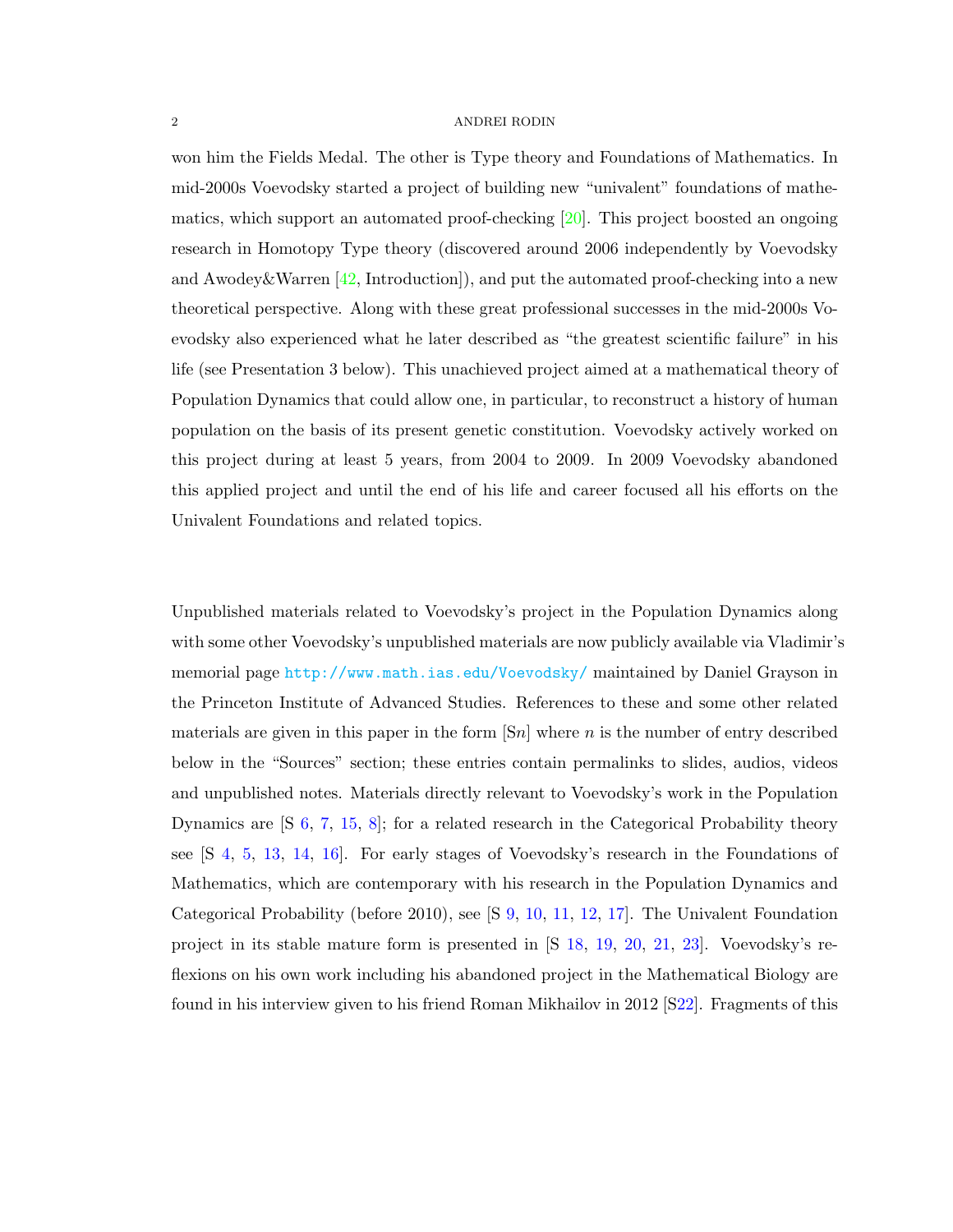won him the Fields Medal. The other is Type theory and Foundations of Mathematics. In mid-2000s Voevodsky started a project of building new "univalent" foundations of mathematics, which support an automated proof-checking [\[20\]](#page-33-0). This project boosted an ongoing research in Homotopy Type theory (discovered around 2006 independently by Voevodsky and Awodey & Warren  $[42, Introduction]$  $[42, Introduction]$ , and put the automated proof-checking into a new theoretical perspective. Along with these great professional successes in the mid-2000s Voevodsky also experienced what he later described as "the greatest scientific failure" in his life (see Presentation 3 below). This unachieved project aimed at a mathematical theory of Population Dynamics that could allow one, in particular, to reconstruct a history of human population on the basis of its present genetic constitution. Voevodsky actively worked on this project during at least 5 years, from 2004 to 2009. In 2009 Voevodsky abandoned this applied project and until the end of his life and career focused all his efforts on the Univalent Foundations and related topics.

Unpublished materials related to Voevodsky's project in the Population Dynamics along with some other Voevodsky's unpublished materials are now publicly available via Vladimir's memorial page <http://www.math.ias.edu/Voevodsky/> maintained by Daniel Grayson in the Princeton Institute of Advanced Studies. References to these and some other related materials are given in this paper in the form  $\lceil Sn \rceil$  where n is the number of entry described below in the "Sources" section; these entries contain permalinks to slides, audios, videos and unpublished notes. Materials directly relevant to Voevodsky's work in the Population Dynamics are [S [6,](#page-28-0) [7,](#page-28-1) [15,](#page-30-0) [8\]](#page-29-0); for a related research in the Categorical Probability theory see [S [4,](#page-28-2) [5,](#page-28-3) [13,](#page-29-1) [14,](#page-30-1) [16\]](#page-30-2). For early stages of Voevodsky's research in the Foundations of Mathematics, which are contemporary with his research in the Population Dynamics and Categorical Probability (before 2010), see [S [9,](#page-29-2) [10,](#page-29-3) [11,](#page-29-4) [12,](#page-29-5) [17\]](#page-30-3). The Univalent Foundation project in its stable mature form is presented in [S [18,](#page-30-4) [19,](#page-30-5) [20,](#page-31-0) [21,](#page-31-1) [23\]](#page-31-2). Voevodsky's reflexions on his own work including his abandoned project in the Mathematical Biology are found in his interview given to his friend Roman Mikhailov in 2012 [[S22\]](#page-31-3). Fragments of this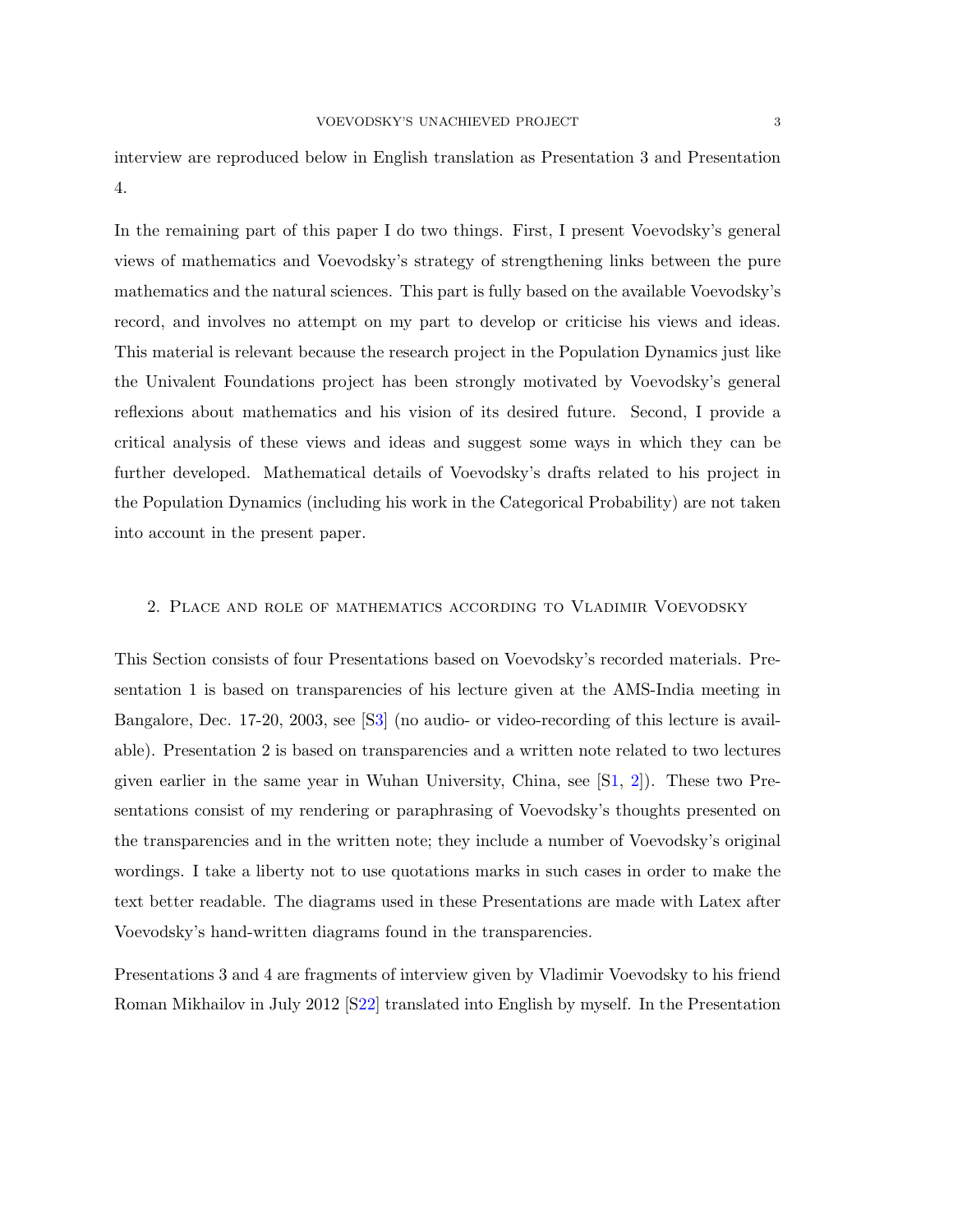interview are reproduced below in English translation as Presentation 3 and Presentation 4.

In the remaining part of this paper I do two things. First, I present Voevodsky's general views of mathematics and Voevodsky's strategy of strengthening links between the pure mathematics and the natural sciences. This part is fully based on the available Voevodsky's record, and involves no attempt on my part to develop or criticise his views and ideas. This material is relevant because the research project in the Population Dynamics just like the Univalent Foundations project has been strongly motivated by Voevodsky's general reflexions about mathematics and his vision of its desired future. Second, I provide a critical analysis of these views and ideas and suggest some ways in which they can be further developed. Mathematical details of Voevodsky's drafts related to his project in the Population Dynamics (including his work in the Categorical Probability) are not taken into account in the present paper.

### 2. Place and role of mathematics according to Vladimir Voevodsky

This Section consists of four Presentations based on Voevodsky's recorded materials. Presentation 1 is based on transparencies of his lecture given at the AMS-India meeting in Bangalore, Dec. 17-20, 2003, see [[S3\]](#page-28-4) (no audio- or video-recording of this lecture is available). Presentation 2 is based on transparencies and a written note related to two lectures given earlier in the same year in Wuhan University, China, see  $[S1, 2]$  $[S1, 2]$  $[S1, 2]$  $[S1, 2]$ ). These two Presentations consist of my rendering or paraphrasing of Voevodsky's thoughts presented on the transparencies and in the written note; they include a number of Voevodsky's original wordings. I take a liberty not to use quotations marks in such cases in order to make the text better readable. The diagrams used in these Presentations are made with Latex after Voevodsky's hand-written diagrams found in the transparencies.

Presentations 3 and 4 are fragments of interview given by Vladimir Voevodsky to his friend Roman Mikhailov in July 2012 [[S22\]](#page-31-3) translated into English by myself. In the Presentation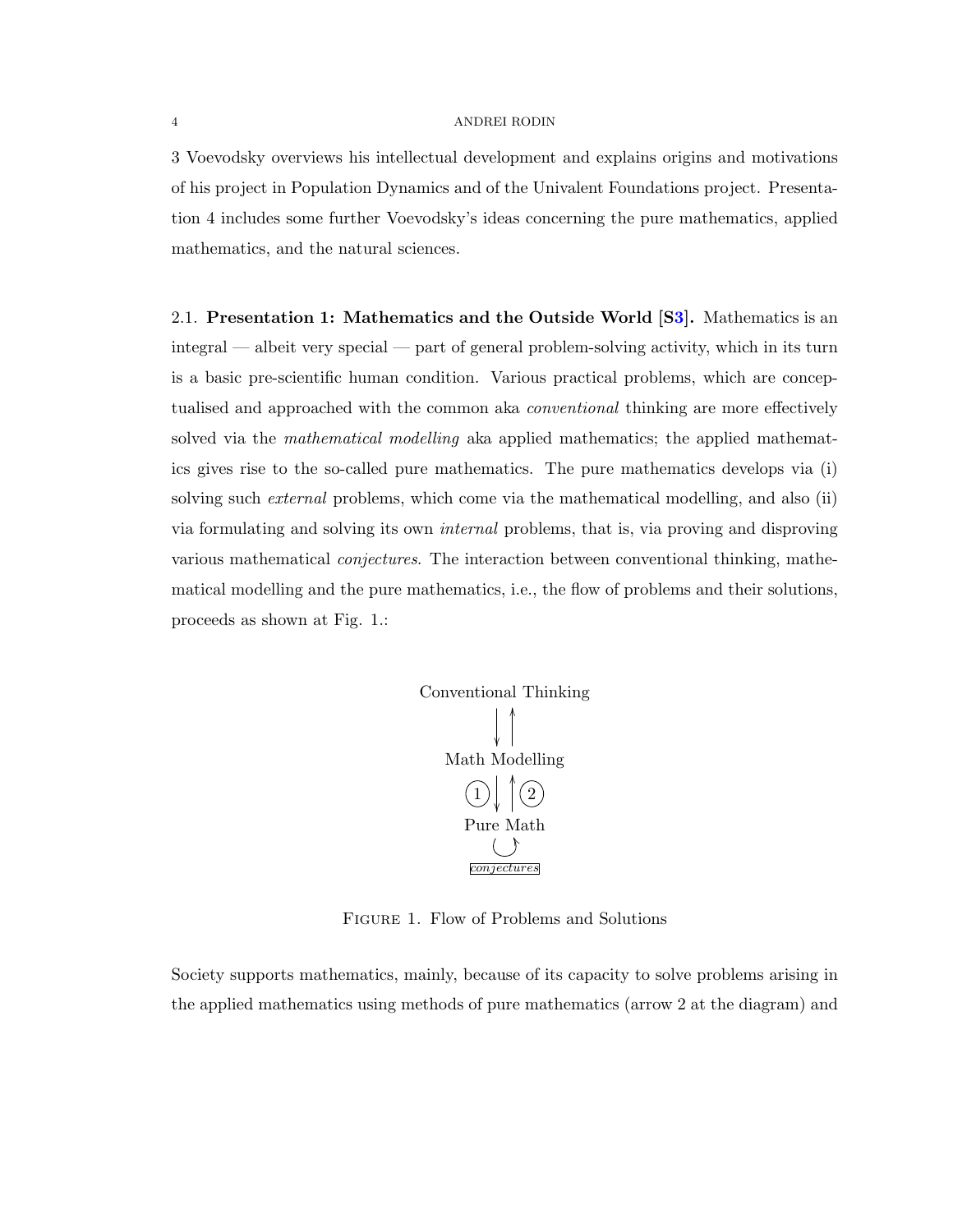3 Voevodsky overviews his intellectual development and explains origins and motivations of his project in Population Dynamics and of the Univalent Foundations project. Presentation 4 includes some further Voevodsky's ideas concerning the pure mathematics, applied mathematics, and the natural sciences.

2.1. Presentation 1: Mathematics and the Outside World [[S3\]](#page-28-4). Mathematics is an integral — albeit very special — part of general problem-solving activity, which in its turn is a basic pre-scientific human condition. Various practical problems, which are conceptualised and approached with the common aka conventional thinking are more effectively solved via the *mathematical modelling* aka applied mathematics; the applied mathematics gives rise to the so-called pure mathematics. The pure mathematics develops via (i) solving such external problems, which come via the mathematical modelling, and also (ii) via formulating and solving its own internal problems, that is, via proving and disproving various mathematical *conjectures*. The interaction between conventional thinking, mathematical modelling and the pure mathematics, i.e., the flow of problems and their solutions, proceeds as shown at Fig. 1.:



Figure 1. Flow of Problems and Solutions

Society supports mathematics, mainly, because of its capacity to solve problems arising in the applied mathematics using methods of pure mathematics (arrow 2 at the diagram) and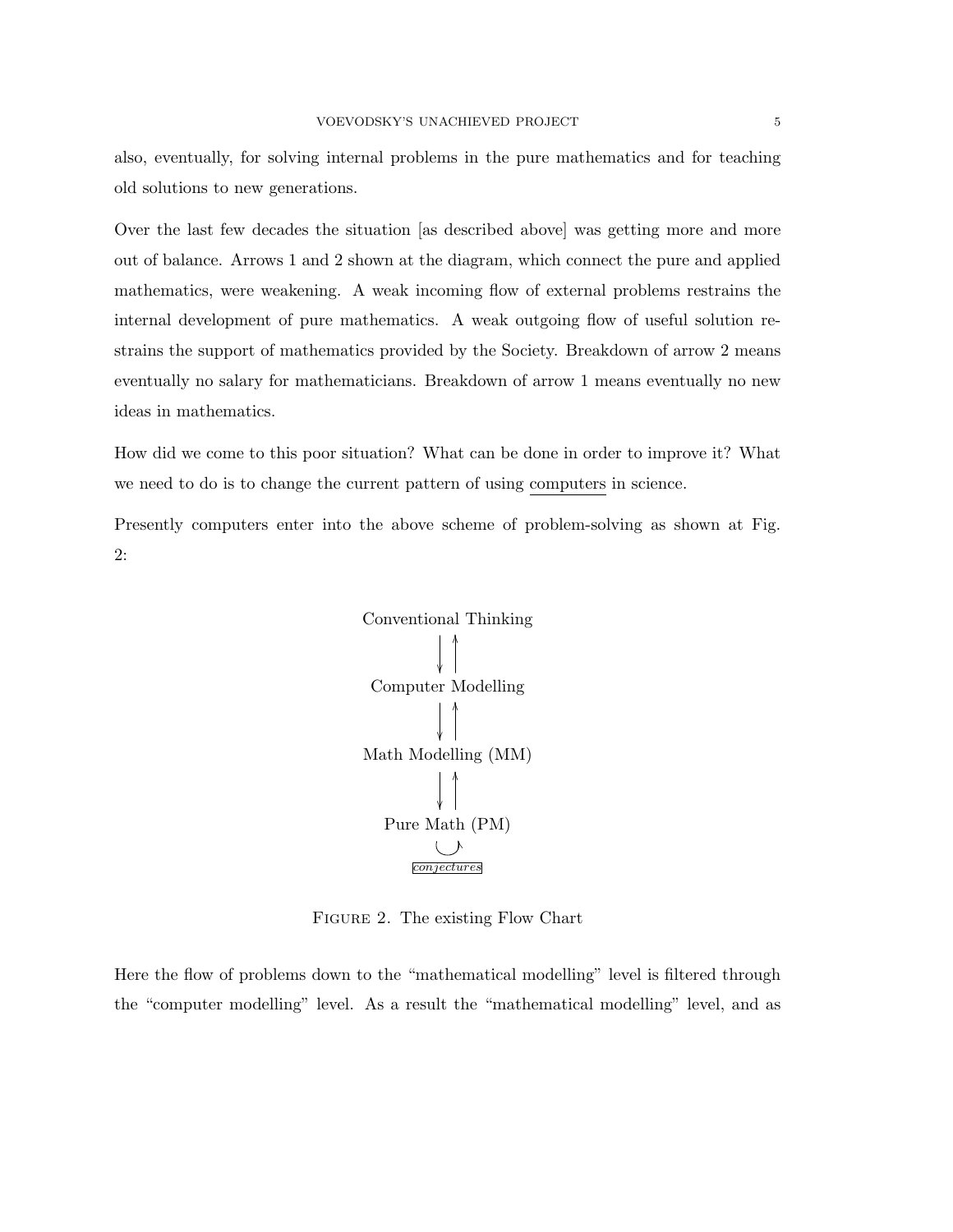also, eventually, for solving internal problems in the pure mathematics and for teaching old solutions to new generations.

Over the last few decades the situation [as described above] was getting more and more out of balance. Arrows 1 and 2 shown at the diagram, which connect the pure and applied mathematics, were weakening. A weak incoming flow of external problems restrains the internal development of pure mathematics. A weak outgoing flow of useful solution restrains the support of mathematics provided by the Society. Breakdown of arrow 2 means eventually no salary for mathematicians. Breakdown of arrow 1 means eventually no new ideas in mathematics.

How did we come to this poor situation? What can be done in order to improve it? What we need to do is to change the current pattern of using computers in science.

Presently computers enter into the above scheme of problem-solving as shown at Fig. 2:



FIGURE 2. The existing Flow Chart

Here the flow of problems down to the "mathematical modelling" level is filtered through the "computer modelling" level. As a result the "mathematical modelling" level, and as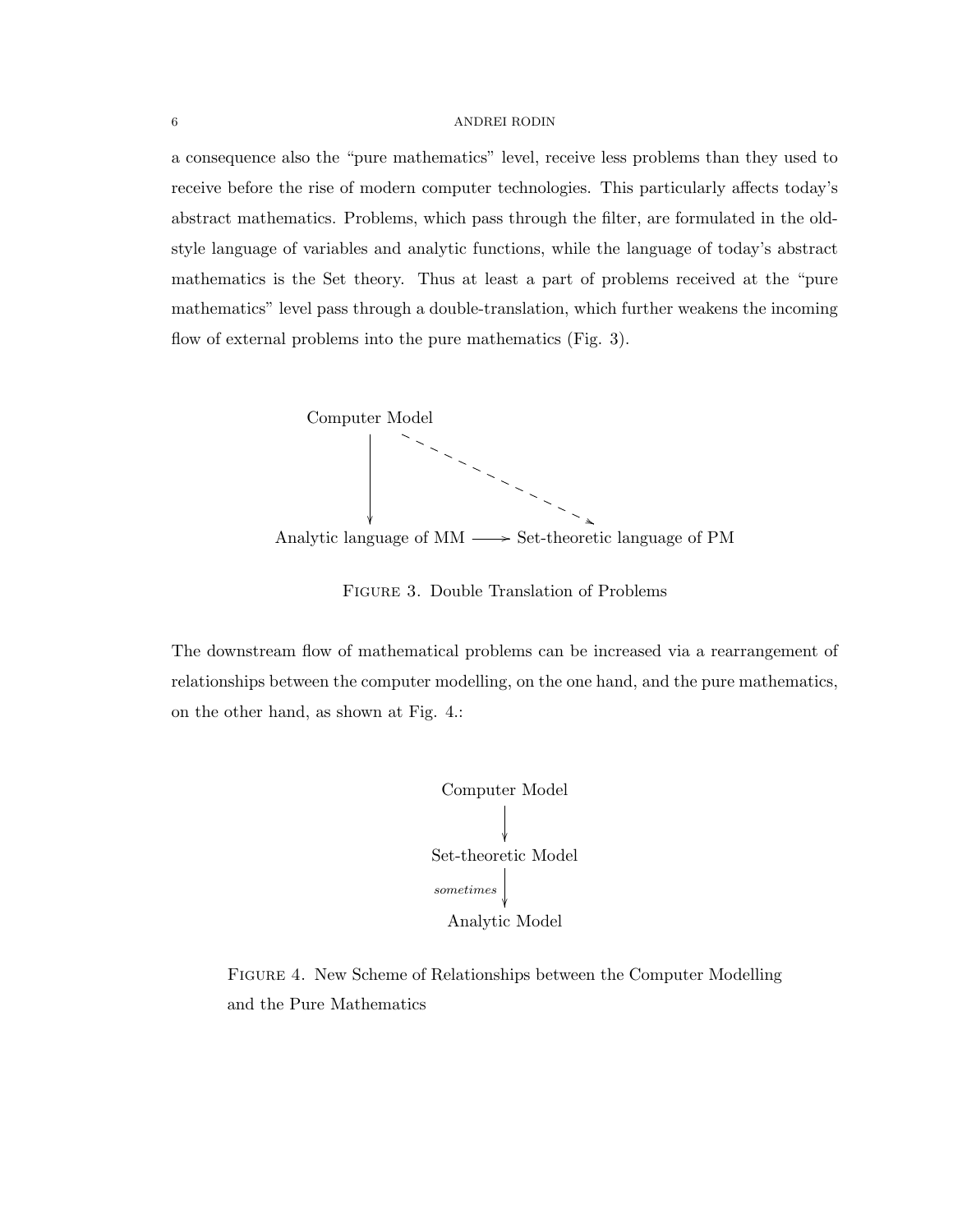a consequence also the "pure mathematics" level, receive less problems than they used to receive before the rise of modern computer technologies. This particularly affects today's abstract mathematics. Problems, which pass through the filter, are formulated in the oldstyle language of variables and analytic functions, while the language of today's abstract mathematics is the Set theory. Thus at least a part of problems received at the "pure mathematics" level pass through a double-translation, which further weakens the incoming flow of external problems into the pure mathematics (Fig. 3).



Figure 3. Double Translation of Problems

The downstream flow of mathematical problems can be increased via a rearrangement of relationships between the computer modelling, on the one hand, and the pure mathematics, on the other hand, as shown at Fig. 4.:



Figure 4. New Scheme of Relationships between the Computer Modelling and the Pure Mathematics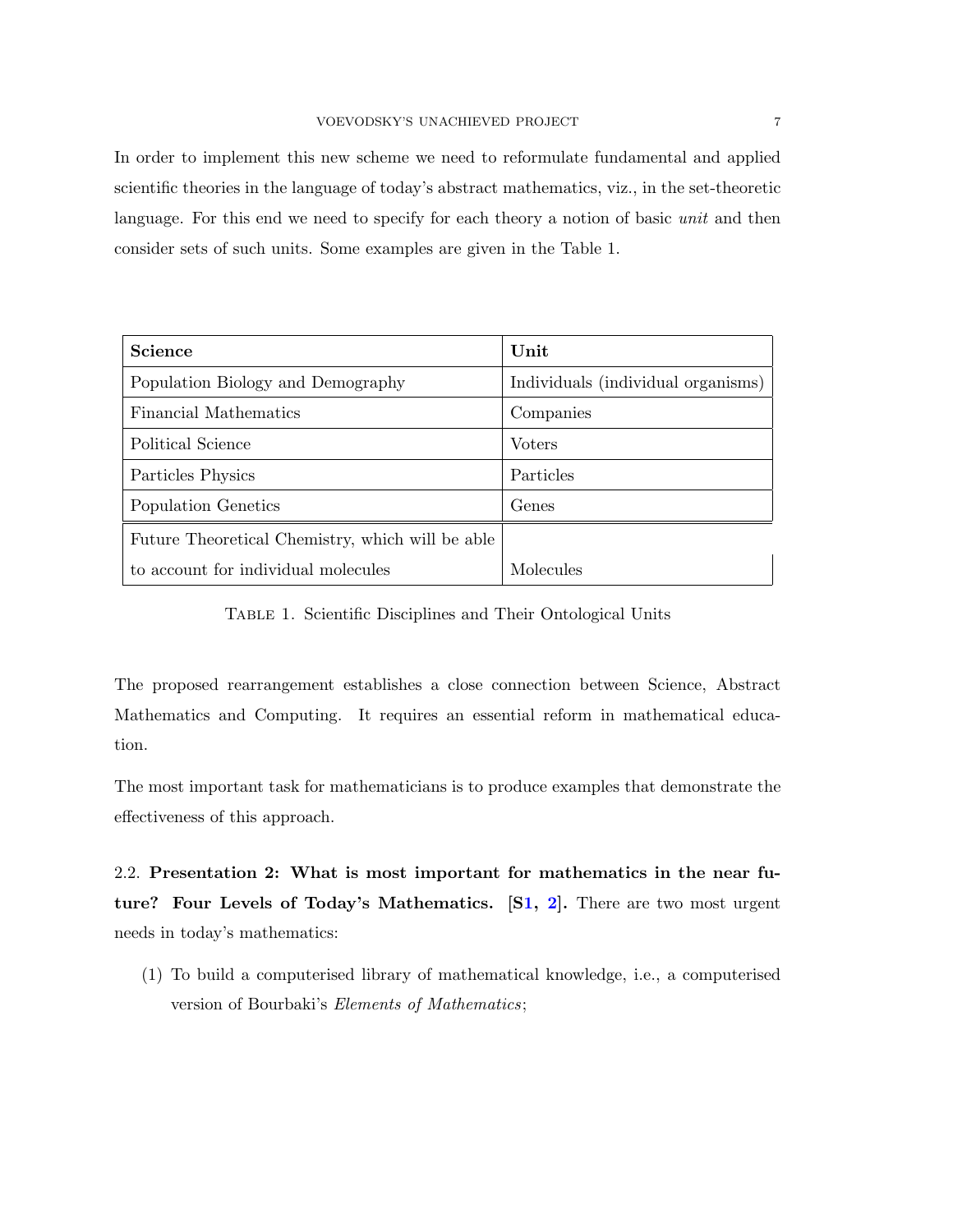In order to implement this new scheme we need to reformulate fundamental and applied scientific theories in the language of today's abstract mathematics, viz., in the set-theoretic language. For this end we need to specify for each theory a notion of basic unit and then consider sets of such units. Some examples are given in the Table 1.

| <b>Science</b>                                   | Unit                               |
|--------------------------------------------------|------------------------------------|
| Population Biology and Demography                | Individuals (individual organisms) |
| Financial Mathematics                            | Companies                          |
| Political Science                                | <b>Voters</b>                      |
| Particles Physics                                | Particles                          |
| Population Genetics                              | Genes                              |
| Future Theoretical Chemistry, which will be able |                                    |
| to account for individual molecules              | Molecules                          |

TABLE 1. Scientific Disciplines and Their Ontological Units

The proposed rearrangement establishes a close connection between Science, Abstract Mathematics and Computing. It requires an essential reform in mathematical education.

The most important task for mathematicians is to produce examples that demonstrate the effectiveness of this approach.

2.2. Presentation 2: What is most important for mathematics in the near future? Four Levels of Today's Mathematics. [[S1,](#page-27-0) [2\]](#page-27-1). There are two most urgent needs in today's mathematics:

(1) To build a computerised library of mathematical knowledge, i.e., a computerised version of Bourbaki's Elements of Mathematics;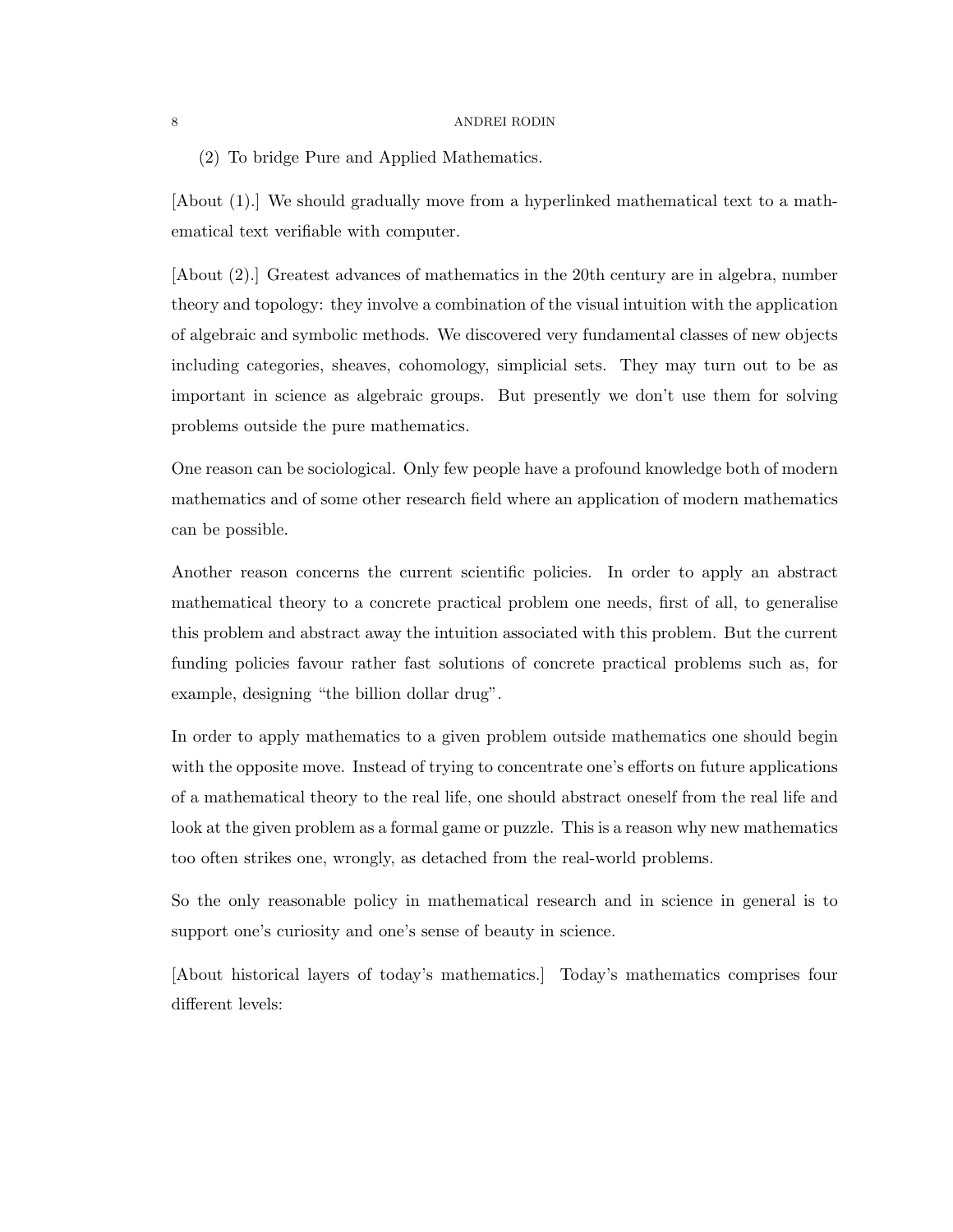(2) To bridge Pure and Applied Mathematics.

[About (1).] We should gradually move from a hyperlinked mathematical text to a mathematical text verifiable with computer.

[About (2).] Greatest advances of mathematics in the 20th century are in algebra, number theory and topology: they involve a combination of the visual intuition with the application of algebraic and symbolic methods. We discovered very fundamental classes of new objects including categories, sheaves, cohomology, simplicial sets. They may turn out to be as important in science as algebraic groups. But presently we don't use them for solving problems outside the pure mathematics.

One reason can be sociological. Only few people have a profound knowledge both of modern mathematics and of some other research field where an application of modern mathematics can be possible.

Another reason concerns the current scientific policies. In order to apply an abstract mathematical theory to a concrete practical problem one needs, first of all, to generalise this problem and abstract away the intuition associated with this problem. But the current funding policies favour rather fast solutions of concrete practical problems such as, for example, designing "the billion dollar drug".

In order to apply mathematics to a given problem outside mathematics one should begin with the opposite move. Instead of trying to concentrate one's efforts on future applications of a mathematical theory to the real life, one should abstract oneself from the real life and look at the given problem as a formal game or puzzle. This is a reason why new mathematics too often strikes one, wrongly, as detached from the real-world problems.

So the only reasonable policy in mathematical research and in science in general is to support one's curiosity and one's sense of beauty in science.

[About historical layers of today's mathematics.] Today's mathematics comprises four different levels: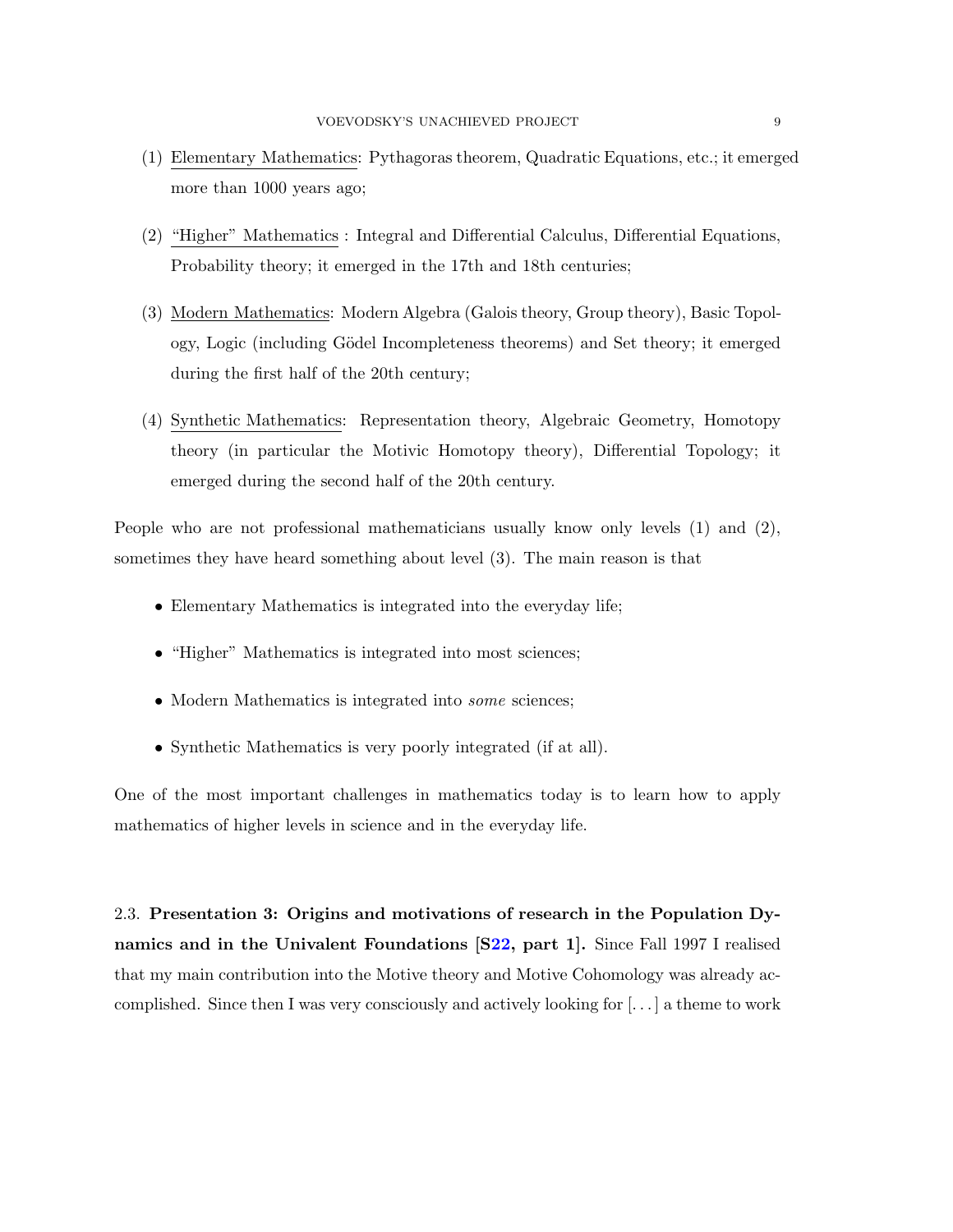- (1) Elementary Mathematics: Pythagoras theorem, Quadratic Equations, etc.; it emerged more than 1000 years ago;
- (2) "Higher" Mathematics : Integral and Differential Calculus, Differential Equations, Probability theory; it emerged in the 17th and 18th centuries;
- (3) Modern Mathematics: Modern Algebra (Galois theory, Group theory), Basic Topology, Logic (including G¨odel Incompleteness theorems) and Set theory; it emerged during the first half of the 20th century;
- (4) Synthetic Mathematics: Representation theory, Algebraic Geometry, Homotopy theory (in particular the Motivic Homotopy theory), Differential Topology; it emerged during the second half of the 20th century.

People who are not professional mathematicians usually know only levels (1) and (2), sometimes they have heard something about level (3). The main reason is that

- Elementary Mathematics is integrated into the everyday life;
- "Higher" Mathematics is integrated into most sciences;
- Modern Mathematics is integrated into *some* sciences;
- Synthetic Mathematics is very poorly integrated (if at all).

One of the most important challenges in mathematics today is to learn how to apply mathematics of higher levels in science and in the everyday life.

2.3. Presentation 3: Origins and motivations of research in the Population Dynamics and in the Univalent Foundations [[S22,](#page-31-3) part 1]. Since Fall 1997 I realised that my main contribution into the Motive theory and Motive Cohomology was already accomplished. Since then I was very consciously and actively looking for [. . . ] a theme to work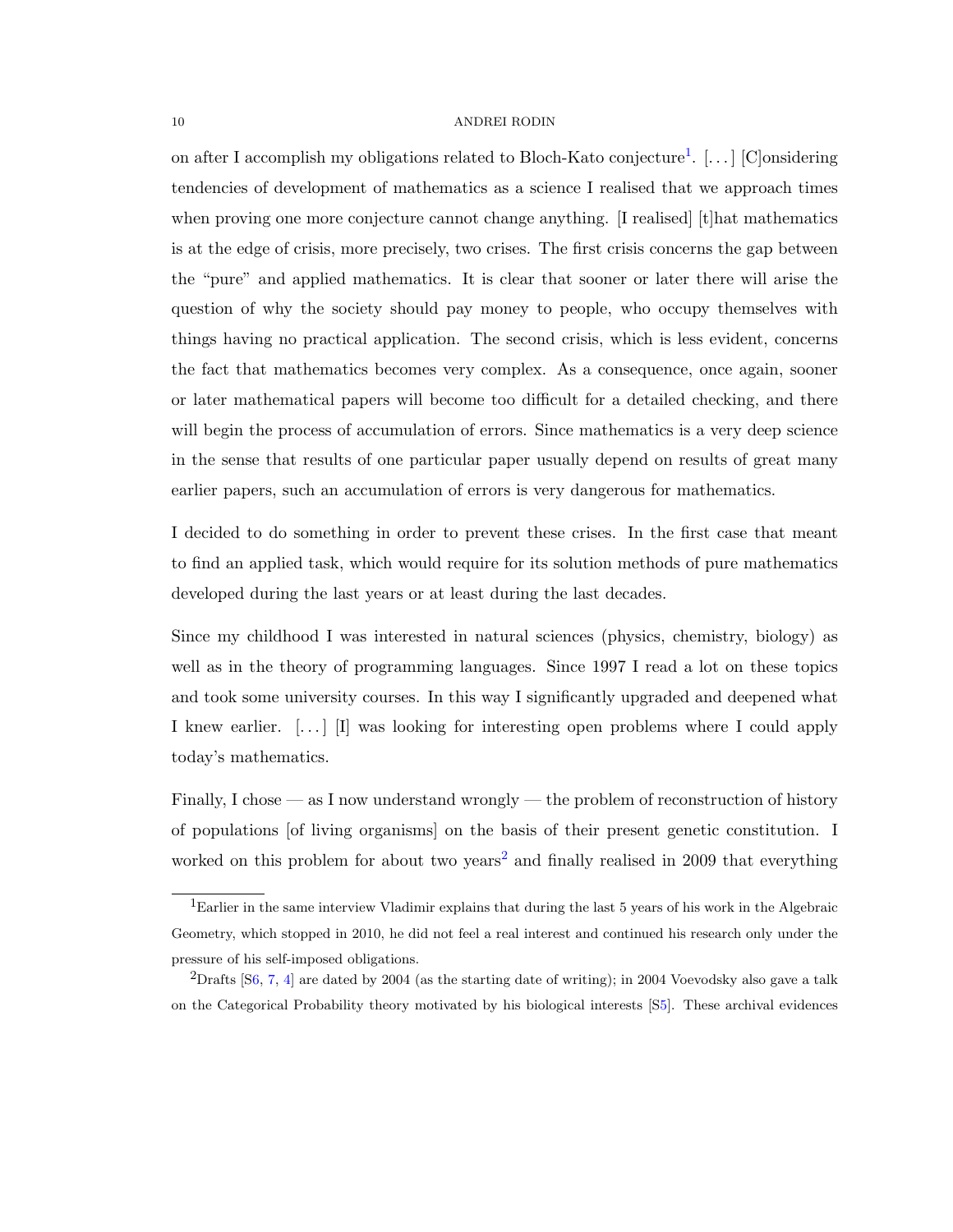on after I accomplish my obligations related to Bloch-Kato conjecture<sup>[1](#page-9-0)</sup>. [...] [C]onsidering tendencies of development of mathematics as a science I realised that we approach times when proving one more conjecture cannot change anything. [I realised] [t] hat mathematics is at the edge of crisis, more precisely, two crises. The first crisis concerns the gap between the "pure" and applied mathematics. It is clear that sooner or later there will arise the question of why the society should pay money to people, who occupy themselves with things having no practical application. The second crisis, which is less evident, concerns the fact that mathematics becomes very complex. As a consequence, once again, sooner or later mathematical papers will become too difficult for a detailed checking, and there will begin the process of accumulation of errors. Since mathematics is a very deep science in the sense that results of one particular paper usually depend on results of great many earlier papers, such an accumulation of errors is very dangerous for mathematics.

I decided to do something in order to prevent these crises. In the first case that meant to find an applied task, which would require for its solution methods of pure mathematics developed during the last years or at least during the last decades.

Since my childhood I was interested in natural sciences (physics, chemistry, biology) as well as in the theory of programming languages. Since 1997 I read a lot on these topics and took some university courses. In this way I significantly upgraded and deepened what I knew earlier. [. . . ] [I] was looking for interesting open problems where I could apply today's mathematics.

Finally, I chose — as I now understand wrongly — the problem of reconstruction of history of populations [of living organisms] on the basis of their present genetic constitution. I worked on this problem for about two years<sup>[2](#page-9-1)</sup> and finally realised in 2009 that everything

<span id="page-9-0"></span><sup>1</sup>Earlier in the same interview Vladimir explains that during the last 5 years of his work in the Algebraic Geometry, which stopped in 2010, he did not feel a real interest and continued his research only under the pressure of his self-imposed obligations.

<span id="page-9-1"></span> $2$ Drafts [[S6,](#page-28-0) [7,](#page-28-1) [4\]](#page-28-2) are dated by 2004 (as the starting date of writing); in 2004 Voevodsky also gave a talk on the Categorical Probability theory motivated by his biological interests [[S5\]](#page-28-3). These archival evidences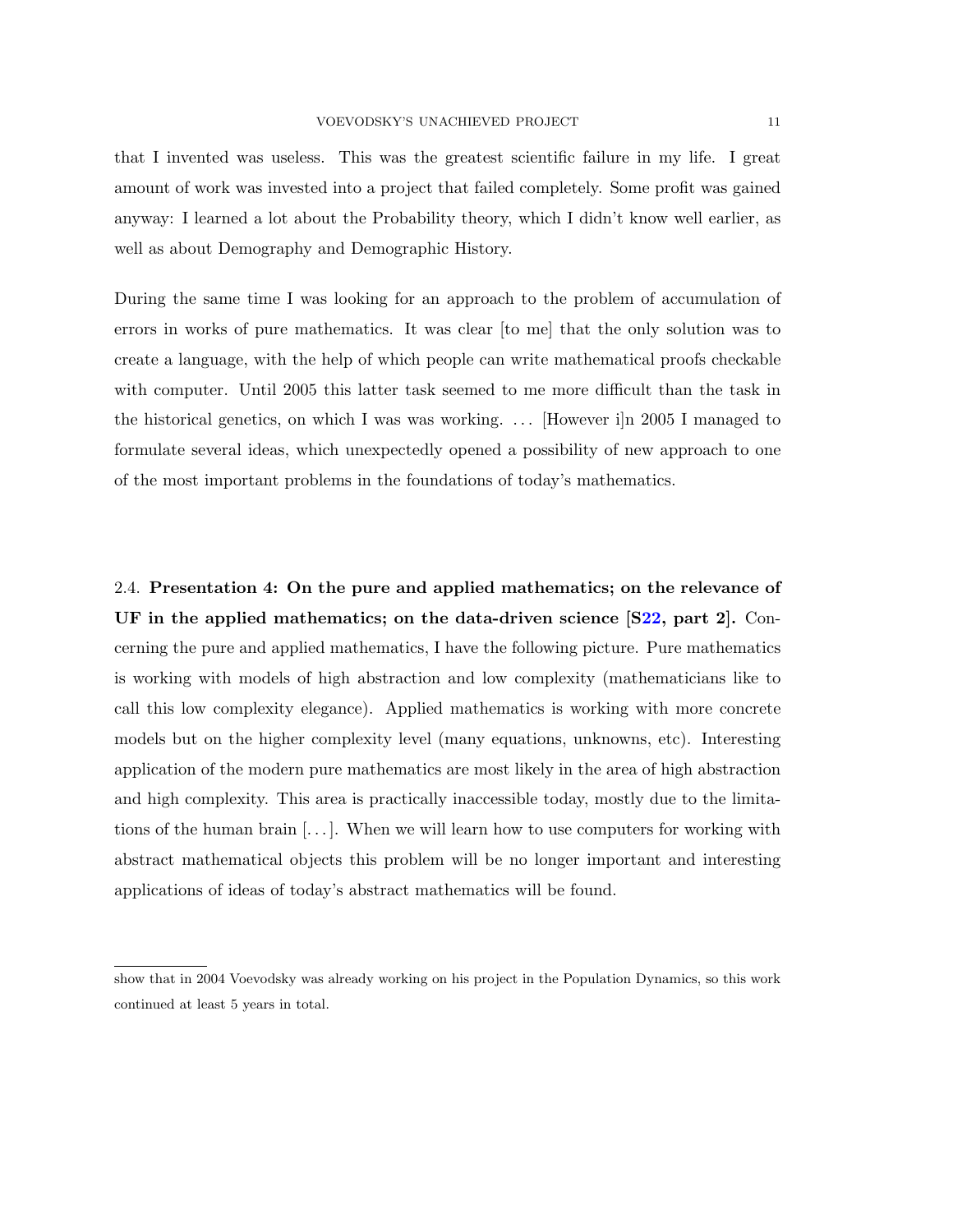that I invented was useless. This was the greatest scientific failure in my life. I great amount of work was invested into a project that failed completely. Some profit was gained anyway: I learned a lot about the Probability theory, which I didn't know well earlier, as well as about Demography and Demographic History.

During the same time I was looking for an approach to the problem of accumulation of errors in works of pure mathematics. It was clear [to me] that the only solution was to create a language, with the help of which people can write mathematical proofs checkable with computer. Until 2005 this latter task seemed to me more difficult than the task in the historical genetics, on which I was was working. . . . [However i]n 2005 I managed to formulate several ideas, which unexpectedly opened a possibility of new approach to one of the most important problems in the foundations of today's mathematics.

2.4. Presentation 4: On the pure and applied mathematics; on the relevance of UF in the applied mathematics; on the data-driven science  $[S22,$  $[S22,$  part 2. Concerning the pure and applied mathematics, I have the following picture. Pure mathematics is working with models of high abstraction and low complexity (mathematicians like to call this low complexity elegance). Applied mathematics is working with more concrete models but on the higher complexity level (many equations, unknowns, etc). Interesting application of the modern pure mathematics are most likely in the area of high abstraction and high complexity. This area is practically inaccessible today, mostly due to the limitations of the human brain  $[\ldots]$ . When we will learn how to use computers for working with abstract mathematical objects this problem will be no longer important and interesting applications of ideas of today's abstract mathematics will be found.

show that in 2004 Voevodsky was already working on his project in the Population Dynamics, so this work continued at least 5 years in total.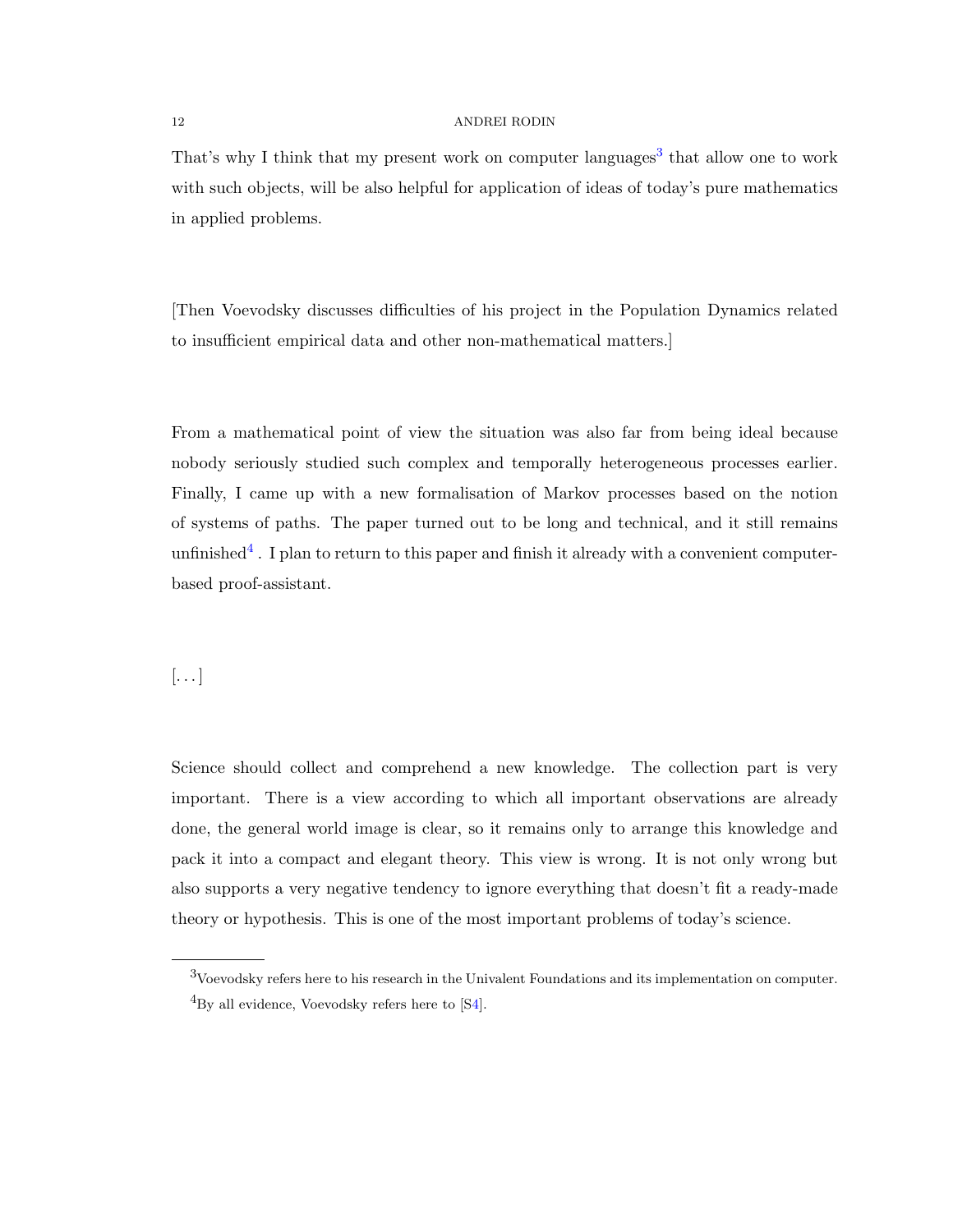That's why I think that my present work on computer languages<sup>[3](#page-11-0)</sup> that allow one to work with such objects, will be also helpful for application of ideas of today's pure mathematics in applied problems.

[Then Voevodsky discusses difficulties of his project in the Population Dynamics related to insufficient empirical data and other non-mathematical matters.]

From a mathematical point of view the situation was also far from being ideal because nobody seriously studied such complex and temporally heterogeneous processes earlier. Finally, I came up with a new formalisation of Markov processes based on the notion of systems of paths. The paper turned out to be long and technical, and it still remains unfinished<sup>[4](#page-11-1)</sup>. I plan to return to this paper and finish it already with a convenient computerbased proof-assistant.

## $\left[\ldots\right]$

Science should collect and comprehend a new knowledge. The collection part is very important. There is a view according to which all important observations are already done, the general world image is clear, so it remains only to arrange this knowledge and pack it into a compact and elegant theory. This view is wrong. It is not only wrong but also supports a very negative tendency to ignore everything that doesn't fit a ready-made theory or hypothesis. This is one of the most important problems of today's science.

<span id="page-11-1"></span><span id="page-11-0"></span><sup>3</sup>Voevodsky refers here to his research in the Univalent Foundations and its implementation on computer.  ${}^{4}$ By all evidence, Voevodsky refers here to [[S4\]](#page-28-2).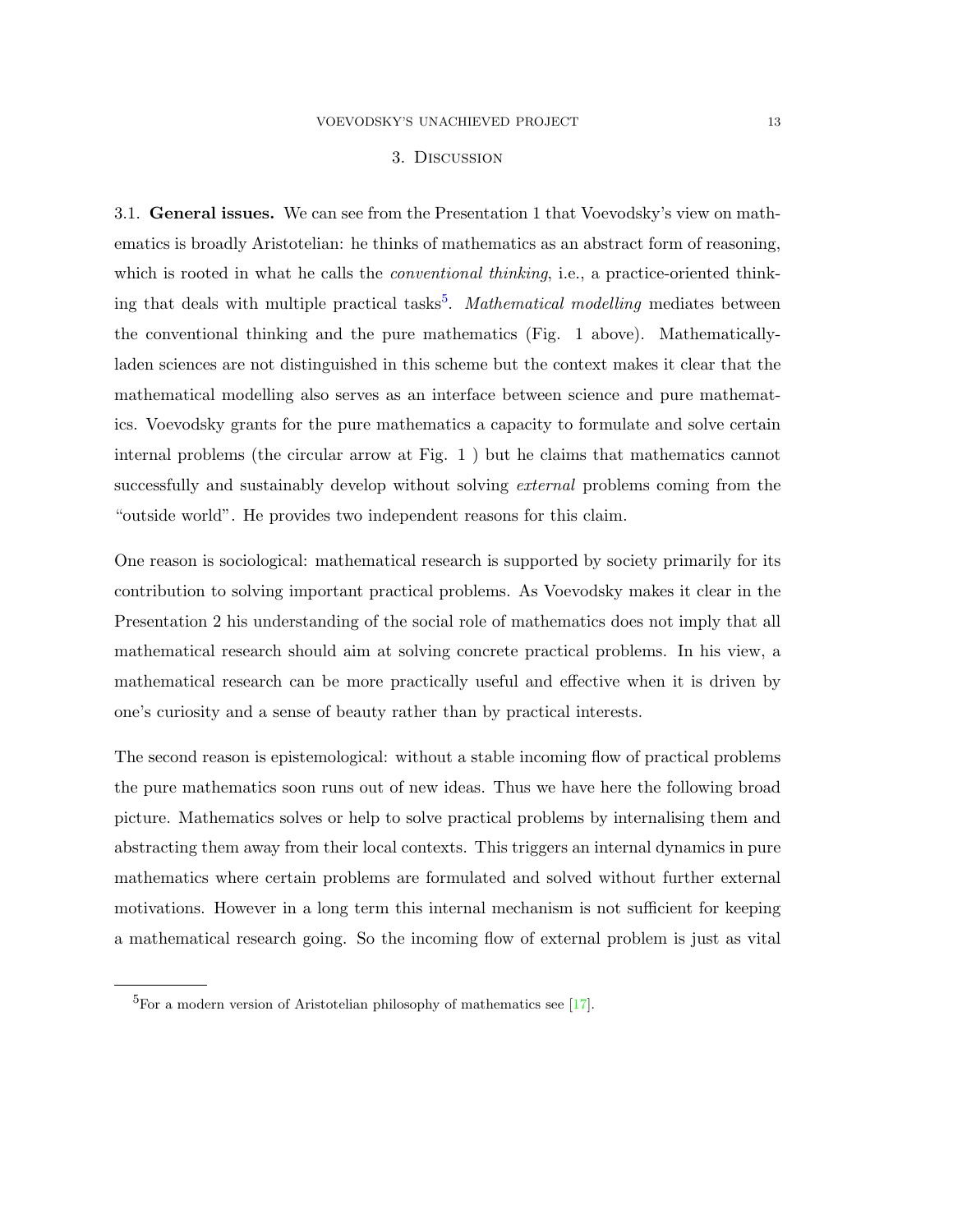## 3. Discussion

3.1. General issues. We can see from the Presentation 1 that Voevodsky's view on mathematics is broadly Aristotelian: he thinks of mathematics as an abstract form of reasoning, which is rooted in what he calls the *conventional thinking*, i.e., a practice-oriented think-ing that deals with multiple practical tasks<sup>[5](#page-12-0)</sup>. Mathematical modelling mediates between the conventional thinking and the pure mathematics (Fig. 1 above). Mathematicallyladen sciences are not distinguished in this scheme but the context makes it clear that the mathematical modelling also serves as an interface between science and pure mathematics. Voevodsky grants for the pure mathematics a capacity to formulate and solve certain internal problems (the circular arrow at Fig. 1 ) but he claims that mathematics cannot successfully and sustainably develop without solving *external* problems coming from the "outside world". He provides two independent reasons for this claim.

One reason is sociological: mathematical research is supported by society primarily for its contribution to solving important practical problems. As Voevodsky makes it clear in the Presentation 2 his understanding of the social role of mathematics does not imply that all mathematical research should aim at solving concrete practical problems. In his view, a mathematical research can be more practically useful and effective when it is driven by one's curiosity and a sense of beauty rather than by practical interests.

The second reason is epistemological: without a stable incoming flow of practical problems the pure mathematics soon runs out of new ideas. Thus we have here the following broad picture. Mathematics solves or help to solve practical problems by internalising them and abstracting them away from their local contexts. This triggers an internal dynamics in pure mathematics where certain problems are formulated and solved without further external motivations. However in a long term this internal mechanism is not sufficient for keeping a mathematical research going. So the incoming flow of external problem is just as vital

<span id="page-12-0"></span> ${}^{5}$ For a modern version of Aristotelian philosophy of mathematics see [\[17\]](#page-33-1).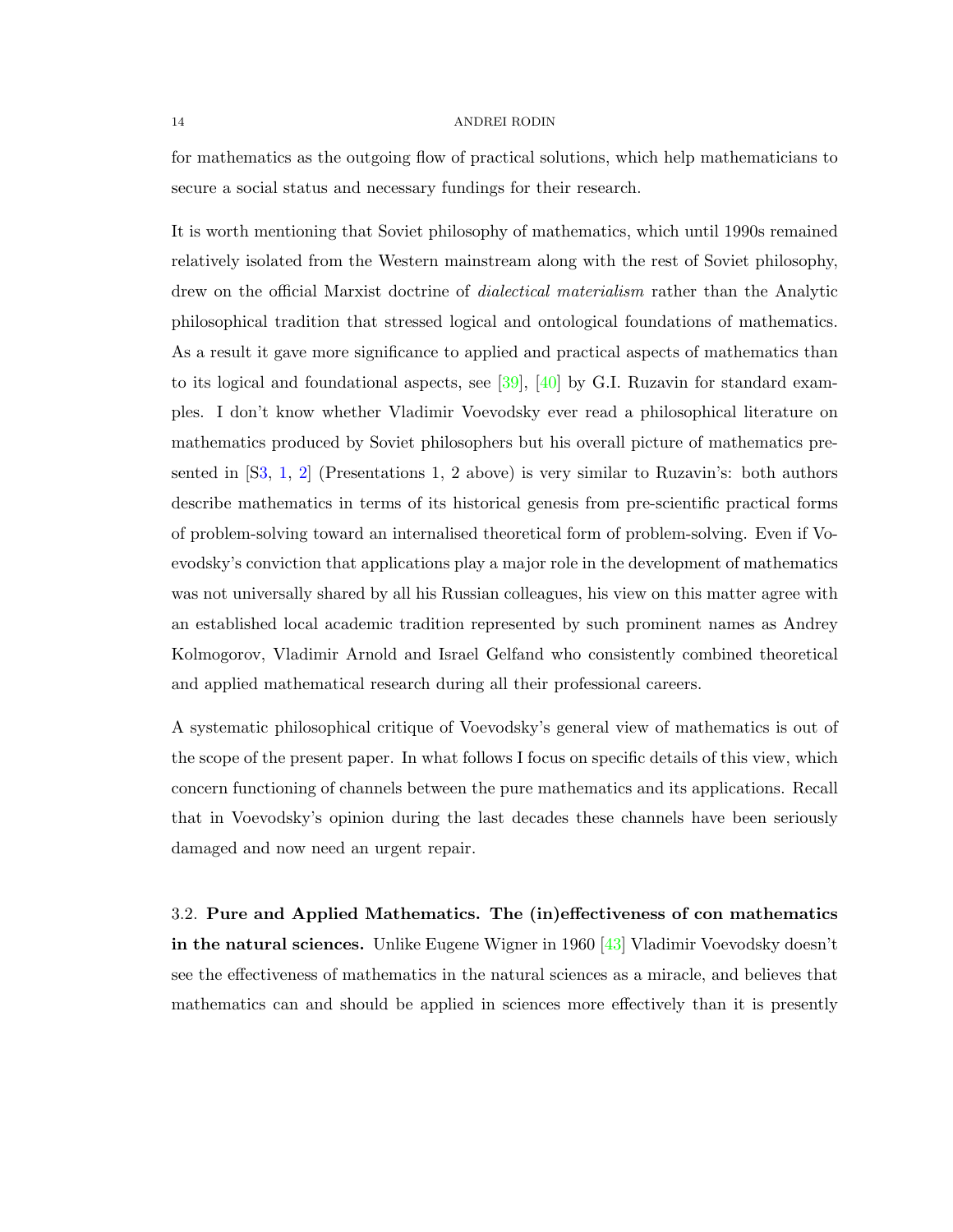for mathematics as the outgoing flow of practical solutions, which help mathematicians to secure a social status and necessary fundings for their research.

It is worth mentioning that Soviet philosophy of mathematics, which until 1990s remained relatively isolated from the Western mainstream along with the rest of Soviet philosophy, drew on the official Marxist doctrine of *dialectical materialism* rather than the Analytic philosophical tradition that stressed logical and ontological foundations of mathematics. As a result it gave more significance to applied and practical aspects of mathematics than to its logical and foundational aspects, see [\[39\]](#page-34-1), [\[40\]](#page-34-2) by G.I. Ruzavin for standard examples. I don't know whether Vladimir Voevodsky ever read a philosophical literature on mathematics produced by Soviet philosophers but his overall picture of mathematics presented in  $[**S3**, 1, 2]$  $[**S3**, 1, 2]$  $[**S3**, 1, 2]$  $[**S3**, 1, 2]$  (Presentations 1, 2 above) is very similar to Ruzavin's: both authors describe mathematics in terms of its historical genesis from pre-scientific practical forms of problem-solving toward an internalised theoretical form of problem-solving. Even if Voevodsky's conviction that applications play a major role in the development of mathematics was not universally shared by all his Russian colleagues, his view on this matter agree with an established local academic tradition represented by such prominent names as Andrey Kolmogorov, Vladimir Arnold and Israel Gelfand who consistently combined theoretical and applied mathematical research during all their professional careers.

A systematic philosophical critique of Voevodsky's general view of mathematics is out of the scope of the present paper. In what follows I focus on specific details of this view, which concern functioning of channels between the pure mathematics and its applications. Recall that in Voevodsky's opinion during the last decades these channels have been seriously damaged and now need an urgent repair.

3.2. Pure and Applied Mathematics. The (in)effectiveness of con mathematics in the natural sciences. Unlike Eugene Wigner in 1960 [\[43\]](#page-34-3) Vladimir Voevodsky doesn't see the effectiveness of mathematics in the natural sciences as a miracle, and believes that mathematics can and should be applied in sciences more effectively than it is presently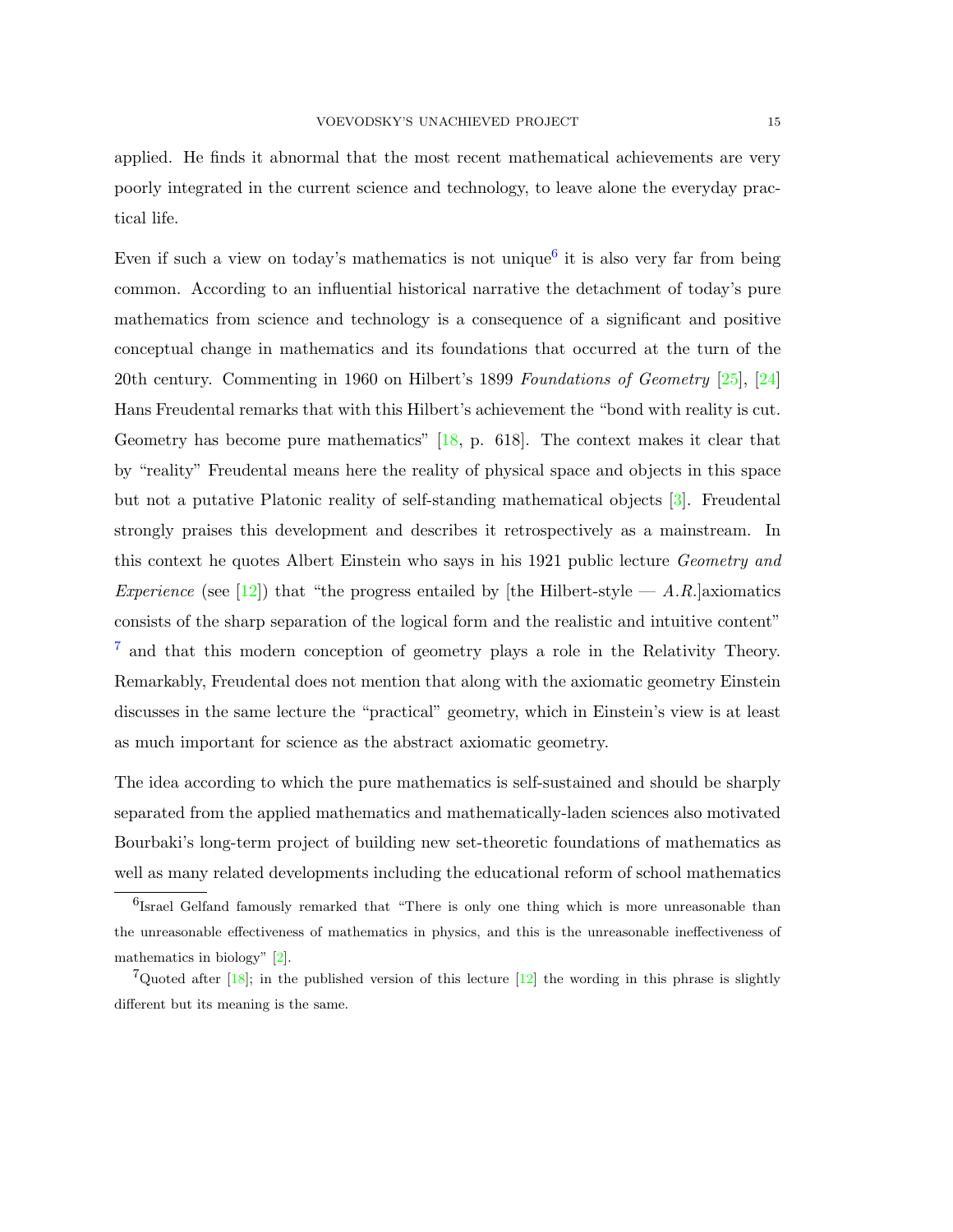applied. He finds it abnormal that the most recent mathematical achievements are very poorly integrated in the current science and technology, to leave alone the everyday practical life.

Even if such a view on today's mathematics is not unique<sup>[6](#page-14-0)</sup> it is also very far from being common. According to an influential historical narrative the detachment of today's pure mathematics from science and technology is a consequence of a significant and positive conceptual change in mathematics and its foundations that occurred at the turn of the 20th century. Commenting in 1960 on Hilbert's 1899 Foundations of Geometry [\[25\]](#page-34-4), [\[24\]](#page-34-5) Hans Freudental remarks that with this Hilbert's achievement the "bond with reality is cut. Geometry has become pure mathematics" [\[18,](#page-33-2) p. 618]. The context makes it clear that by "reality" Freudental means here the reality of physical space and objects in this space but not a putative Platonic reality of self-standing mathematical objects [\[3\]](#page-32-0). Freudental strongly praises this development and describes it retrospectively as a mainstream. In this context he quotes Albert Einstein who says in his 1921 public lecture *Geometry and* Experience (see [\[12\]](#page-33-3)) that "the progress entailed by [the Hilbert-style  $-A.R$ .] axiomatics consists of the sharp separation of the logical form and the realistic and intuitive content" <sup>[7](#page-14-1)</sup> and that this modern conception of geometry plays a role in the Relativity Theory. Remarkably, Freudental does not mention that along with the axiomatic geometry Einstein discusses in the same lecture the "practical" geometry, which in Einstein's view is at least as much important for science as the abstract axiomatic geometry.

The idea according to which the pure mathematics is self-sustained and should be sharply separated from the applied mathematics and mathematically-laden sciences also motivated Bourbaki's long-term project of building new set-theoretic foundations of mathematics as well as many related developments including the educational reform of school mathematics

<span id="page-14-0"></span><sup>&</sup>lt;sup>6</sup>Israel Gelfand famously remarked that "There is only one thing which is more unreasonable than the unreasonable effectiveness of mathematics in physics, and this is the unreasonable ineffectiveness of mathematics in biology" [\[2\]](#page-32-1).

<span id="page-14-1"></span><sup>&</sup>lt;sup>7</sup>Quoted after  $[18]$ ; in the published version of this lecture  $[12]$  the wording in this phrase is slightly different but its meaning is the same.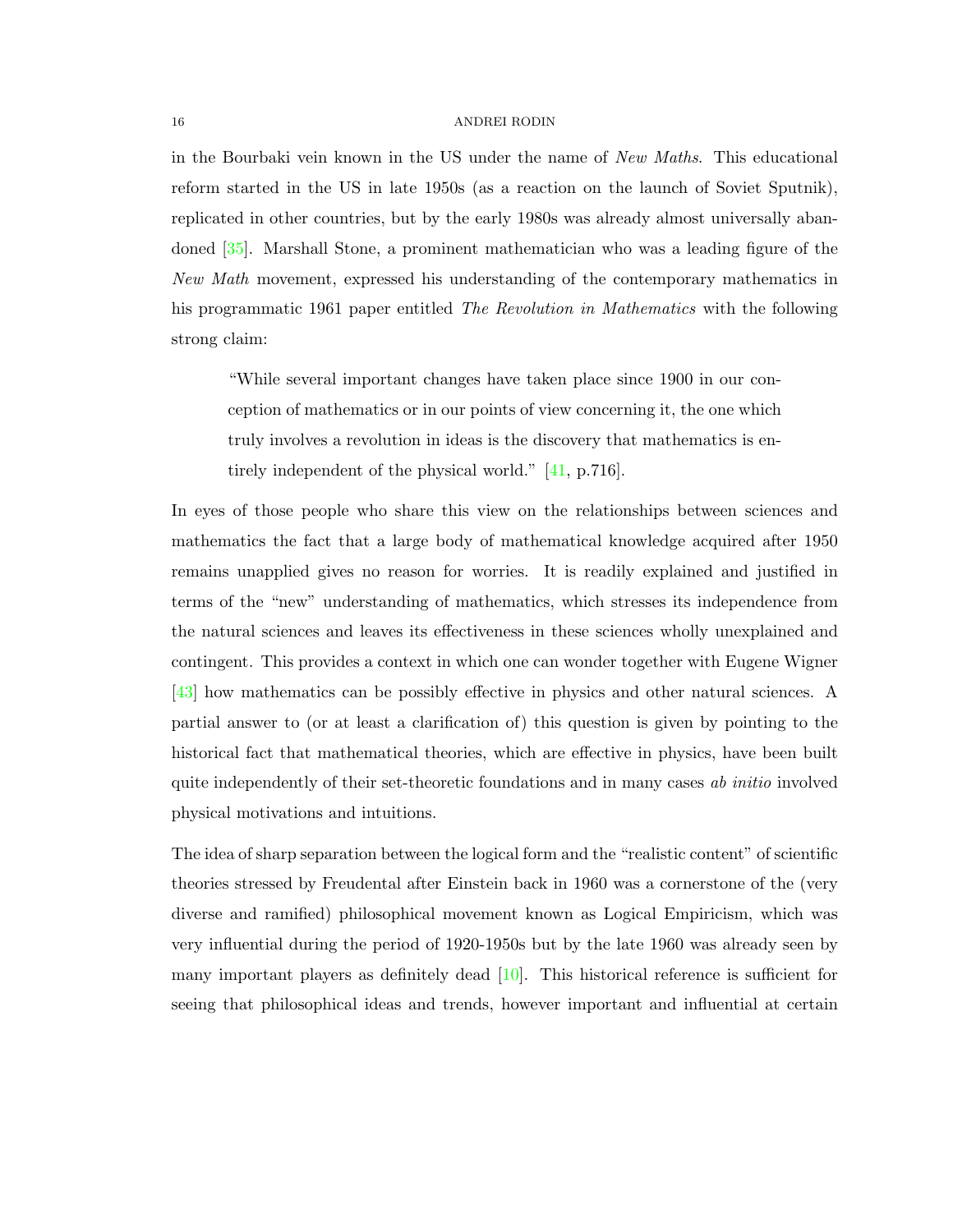in the Bourbaki vein known in the US under the name of New Maths. This educational reform started in the US in late 1950s (as a reaction on the launch of Soviet Sputnik), replicated in other countries, but by the early 1980s was already almost universally abandoned [\[35\]](#page-34-6). Marshall Stone, a prominent mathematician who was a leading figure of the New Math movement, expressed his understanding of the contemporary mathematics in his programmatic 1961 paper entitled *The Revolution in Mathematics* with the following strong claim:

"While several important changes have taken place since 1900 in our conception of mathematics or in our points of view concerning it, the one which truly involves a revolution in ideas is the discovery that mathematics is entirely independent of the physical world." [\[41,](#page-34-7) p.716].

In eyes of those people who share this view on the relationships between sciences and mathematics the fact that a large body of mathematical knowledge acquired after 1950 remains unapplied gives no reason for worries. It is readily explained and justified in terms of the "new" understanding of mathematics, which stresses its independence from the natural sciences and leaves its effectiveness in these sciences wholly unexplained and contingent. This provides a context in which one can wonder together with Eugene Wigner [\[43\]](#page-34-3) how mathematics can be possibly effective in physics and other natural sciences. A partial answer to (or at least a clarification of) this question is given by pointing to the historical fact that mathematical theories, which are effective in physics, have been built quite independently of their set-theoretic foundations and in many cases ab *initio* involved physical motivations and intuitions.

The idea of sharp separation between the logical form and the "realistic content" of scientific theories stressed by Freudental after Einstein back in 1960 was a cornerstone of the (very diverse and ramified) philosophical movement known as Logical Empiricism, which was very influential during the period of 1920-1950s but by the late 1960 was already seen by many important players as definitely dead [\[10\]](#page-33-4). This historical reference is sufficient for seeing that philosophical ideas and trends, however important and influential at certain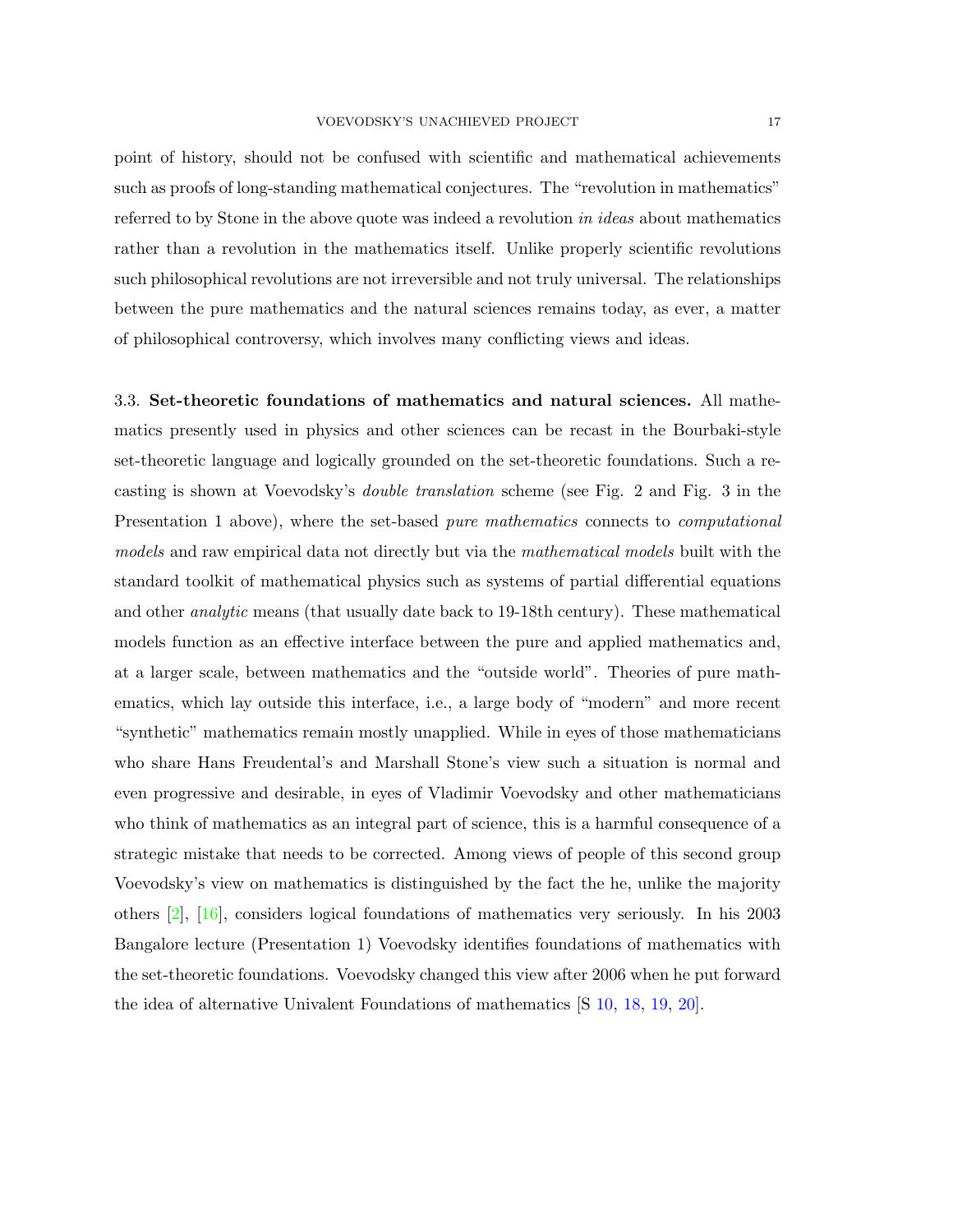point of history, should not be confused with scientific and mathematical achievements such as proofs of long-standing mathematical conjectures. The "revolution in mathematics" referred to by Stone in the above quote was indeed a revolution in ideas about mathematics rather than a revolution in the mathematics itself. Unlike properly scientific revolutions such philosophical revolutions are not irreversible and not truly universal. The relationships between the pure mathematics and the natural sciences remains today, as ever, a matter of philosophical controversy, which involves many conflicting views and ideas.

3.3. Set-theoretic foundations of mathematics and natural sciences. All mathematics presently used in physics and other sciences can be recast in the Bourbaki-style set-theoretic language and logically grounded on the set-theoretic foundations. Such a recasting is shown at Voevodsky's double translation scheme (see Fig. 2 and Fig. 3 in the Presentation 1 above), where the set-based pure mathematics connects to *computational* models and raw empirical data not directly but via the *mathematical models* built with the standard toolkit of mathematical physics such as systems of partial differential equations and other *analytic* means (that usually date back to 19-18th century). These mathematical models function as an effective interface between the pure and applied mathematics and, at a larger scale, between mathematics and the "outside world". Theories of pure mathematics, which lay outside this interface, i.e., a large body of "modern" and more recent "synthetic" mathematics remain mostly unapplied. While in eyes of those mathematicians who share Hans Freudental's and Marshall Stone's view such a situation is normal and even progressive and desirable, in eyes of Vladimir Voevodsky and other mathematicians who think of mathematics as an integral part of science, this is a harmful consequence of a strategic mistake that needs to be corrected. Among views of people of this second group Voevodsky's view on mathematics is distinguished by the fact the he, unlike the majority others [\[2\]](#page-32-1), [\[16\]](#page-33-5), considers logical foundations of mathematics very seriously. In his 2003 Bangalore lecture (Presentation 1) Voevodsky identifies foundations of mathematics with the set-theoretic foundations. Voevodsky changed this view after 2006 when he put forward the idea of alternative Univalent Foundations of mathematics [S [10,](#page-29-3) [18,](#page-30-4) [19,](#page-30-5) [20\]](#page-31-0).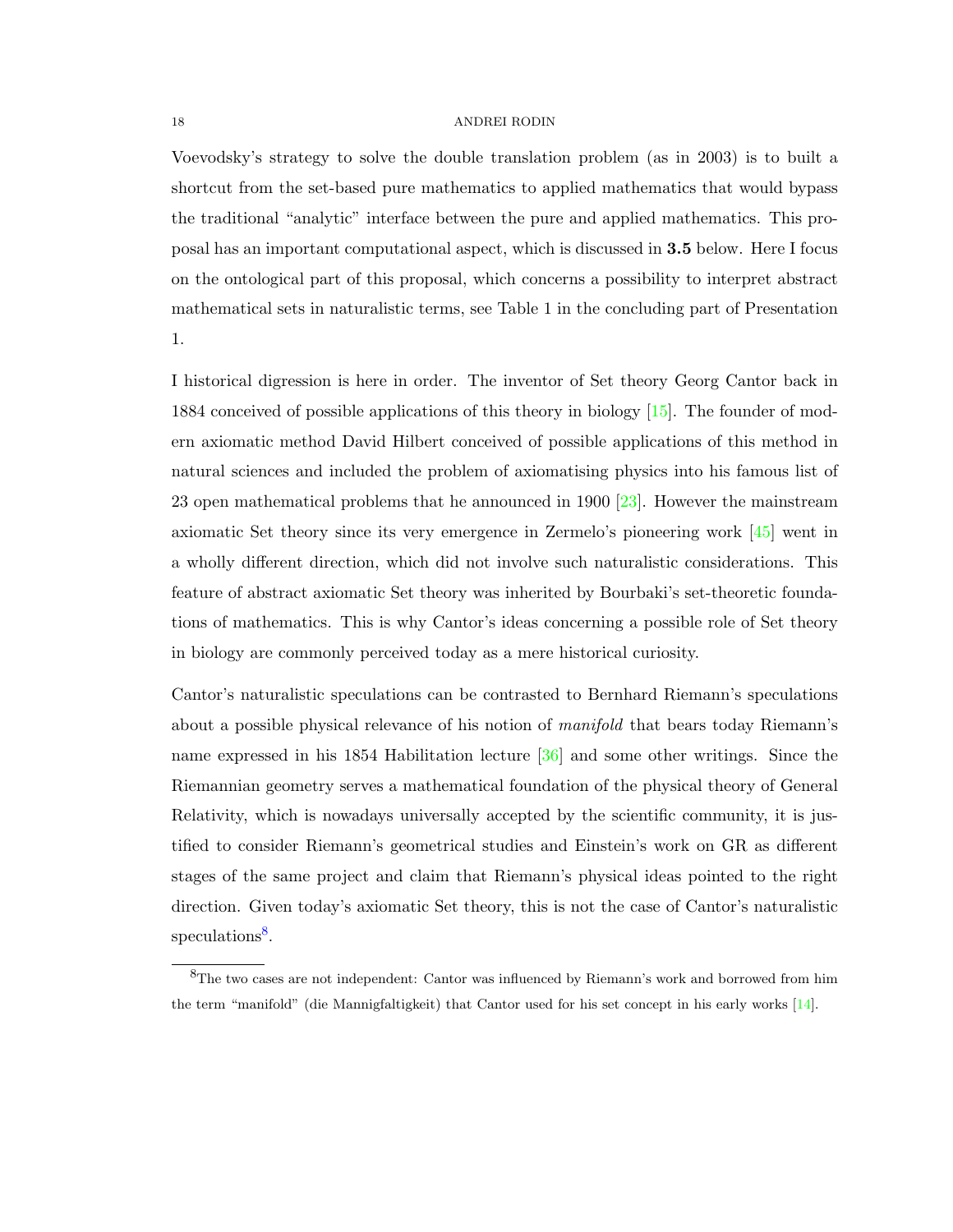Voevodsky's strategy to solve the double translation problem (as in 2003) is to built a shortcut from the set-based pure mathematics to applied mathematics that would bypass the traditional "analytic" interface between the pure and applied mathematics. This proposal has an important computational aspect, which is discussed in 3.5 below. Here I focus on the ontological part of this proposal, which concerns a possibility to interpret abstract mathematical sets in naturalistic terms, see Table 1 in the concluding part of Presentation 1.

I historical digression is here in order. The inventor of Set theory Georg Cantor back in 1884 conceived of possible applications of this theory in biology [\[15\]](#page-33-6). The founder of modern axiomatic method David Hilbert conceived of possible applications of this method in natural sciences and included the problem of axiomatising physics into his famous list of 23 open mathematical problems that he announced in 1900 [\[23\]](#page-34-8). However the mainstream axiomatic Set theory since its very emergence in Zermelo's pioneering work [\[45\]](#page-34-9) went in a wholly different direction, which did not involve such naturalistic considerations. This feature of abstract axiomatic Set theory was inherited by Bourbaki's set-theoretic foundations of mathematics. This is why Cantor's ideas concerning a possible role of Set theory in biology are commonly perceived today as a mere historical curiosity.

Cantor's naturalistic speculations can be contrasted to Bernhard Riemann's speculations about a possible physical relevance of his notion of manifold that bears today Riemann's name expressed in his 1854 Habilitation lecture [\[36\]](#page-34-10) and some other writings. Since the Riemannian geometry serves a mathematical foundation of the physical theory of General Relativity, which is nowadays universally accepted by the scientific community, it is justified to consider Riemann's geometrical studies and Einstein's work on GR as different stages of the same project and claim that Riemann's physical ideas pointed to the right direction. Given today's axiomatic Set theory, this is not the case of Cantor's naturalistic speculations<sup>[8](#page-17-0)</sup>.

<span id="page-17-0"></span> ${}^{8}$ The two cases are not independent: Cantor was influenced by Riemann's work and borrowed from him the term "manifold" (die Mannigfaltigkeit) that Cantor used for his set concept in his early works [\[14\]](#page-33-7).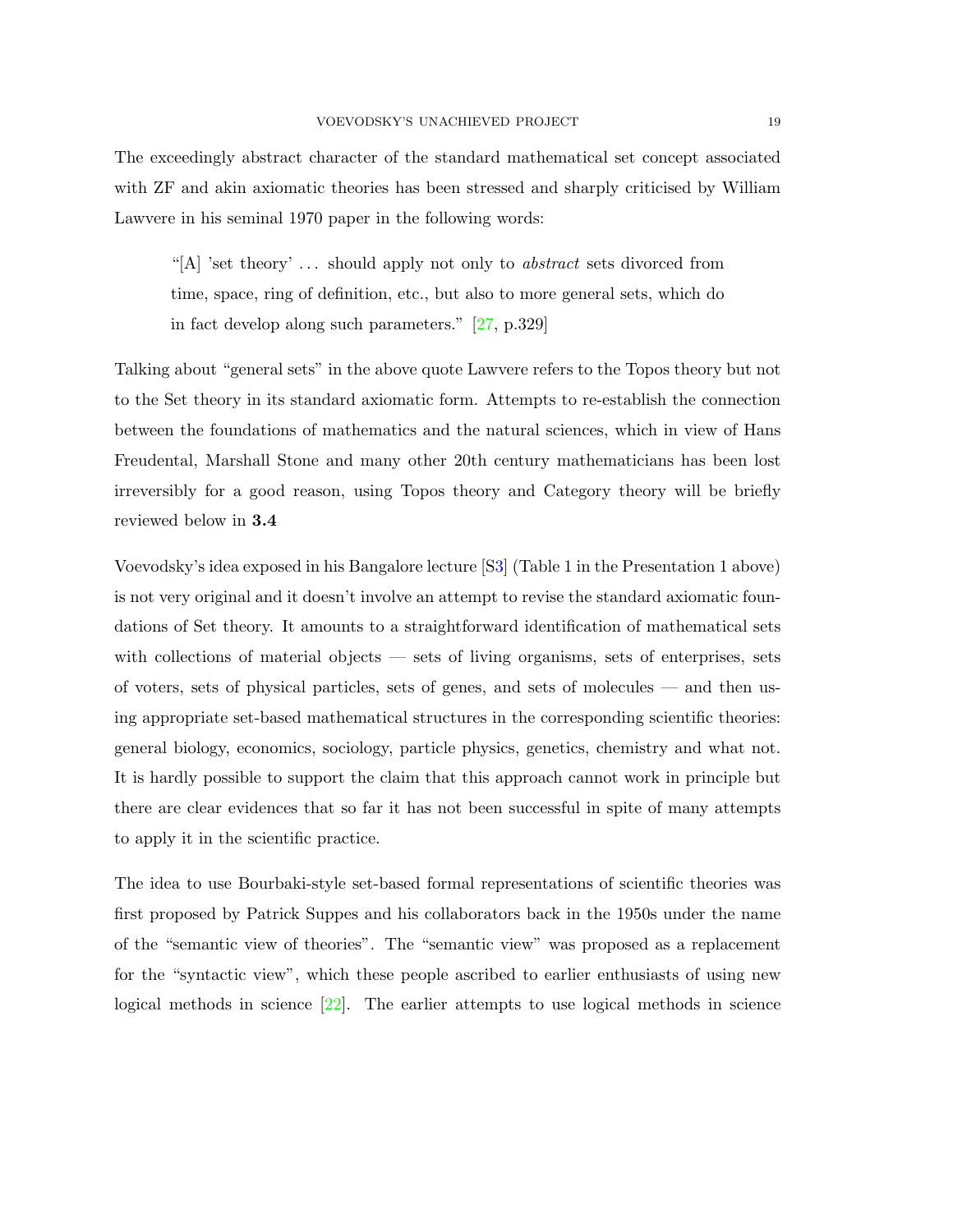The exceedingly abstract character of the standard mathematical set concept associated with ZF and akin axiomatic theories has been stressed and sharply criticised by William Lawvere in his seminal 1970 paper in the following words:

"[A] 'set theory' ... should apply not only to *abstract* sets divorced from time, space, ring of definition, etc., but also to more general sets, which do in fact develop along such parameters." [\[27,](#page-34-11) p.329]

Talking about "general sets" in the above quote Lawvere refers to the Topos theory but not to the Set theory in its standard axiomatic form. Attempts to re-establish the connection between the foundations of mathematics and the natural sciences, which in view of Hans Freudental, Marshall Stone and many other 20th century mathematicians has been lost irreversibly for a good reason, using Topos theory and Category theory will be briefly reviewed below in 3.4

Voevodsky's idea exposed in his Bangalore lecture [[S3\]](#page-28-4) (Table 1 in the Presentation 1 above) is not very original and it doesn't involve an attempt to revise the standard axiomatic foundations of Set theory. It amounts to a straightforward identification of mathematical sets with collections of material objects — sets of living organisms, sets of enterprises, sets of voters, sets of physical particles, sets of genes, and sets of molecules — and then using appropriate set-based mathematical structures in the corresponding scientific theories: general biology, economics, sociology, particle physics, genetics, chemistry and what not. It is hardly possible to support the claim that this approach cannot work in principle but there are clear evidences that so far it has not been successful in spite of many attempts to apply it in the scientific practice.

The idea to use Bourbaki-style set-based formal representations of scientific theories was first proposed by Patrick Suppes and his collaborators back in the 1950s under the name of the "semantic view of theories". The "semantic view" was proposed as a replacement for the "syntactic view", which these people ascribed to earlier enthusiasts of using new logical methods in science  $[22]$ . The earlier attempts to use logical methods in science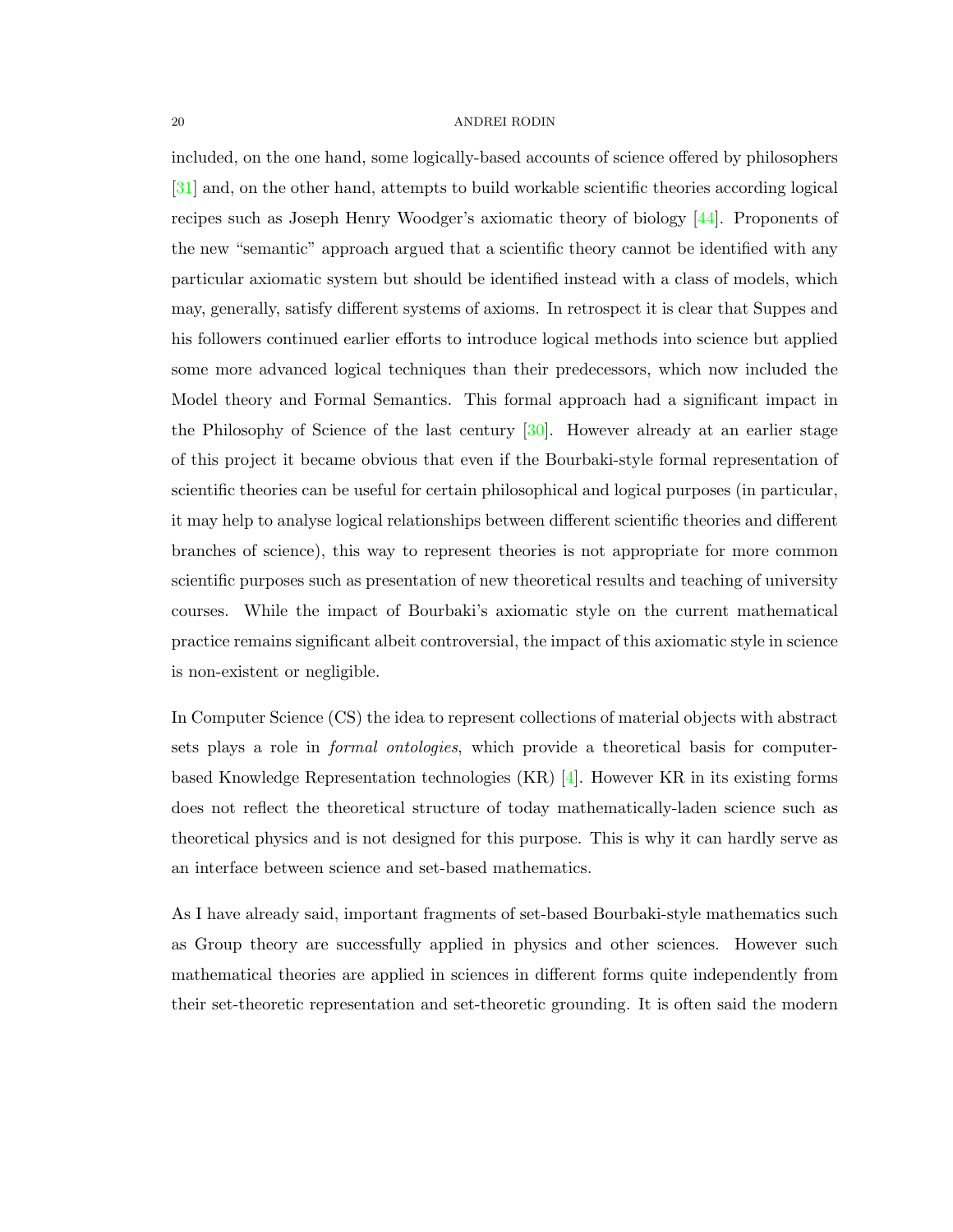included, on the one hand, some logically-based accounts of science offered by philosophers [\[31\]](#page-34-12) and, on the other hand, attempts to build workable scientific theories according logical recipes such as Joseph Henry Woodger's axiomatic theory of biology [\[44\]](#page-34-13). Proponents of the new "semantic" approach argued that a scientific theory cannot be identified with any particular axiomatic system but should be identified instead with a class of models, which may, generally, satisfy different systems of axioms. In retrospect it is clear that Suppes and his followers continued earlier efforts to introduce logical methods into science but applied some more advanced logical techniques than their predecessors, which now included the Model theory and Formal Semantics. This formal approach had a significant impact in the Philosophy of Science of the last century  $[30]$ . However already at an earlier stage of this project it became obvious that even if the Bourbaki-style formal representation of scientific theories can be useful for certain philosophical and logical purposes (in particular, it may help to analyse logical relationships between different scientific theories and different branches of science), this way to represent theories is not appropriate for more common scientific purposes such as presentation of new theoretical results and teaching of university courses. While the impact of Bourbaki's axiomatic style on the current mathematical practice remains significant albeit controversial, the impact of this axiomatic style in science is non-existent or negligible.

In Computer Science (CS) the idea to represent collections of material objects with abstract sets plays a role in formal ontologies, which provide a theoretical basis for computerbased Knowledge Representation technologies  $(KR)$  [\[4\]](#page-33-9). However KR in its existing forms does not reflect the theoretical structure of today mathematically-laden science such as theoretical physics and is not designed for this purpose. This is why it can hardly serve as an interface between science and set-based mathematics.

As I have already said, important fragments of set-based Bourbaki-style mathematics such as Group theory are successfully applied in physics and other sciences. However such mathematical theories are applied in sciences in different forms quite independently from their set-theoretic representation and set-theoretic grounding. It is often said the modern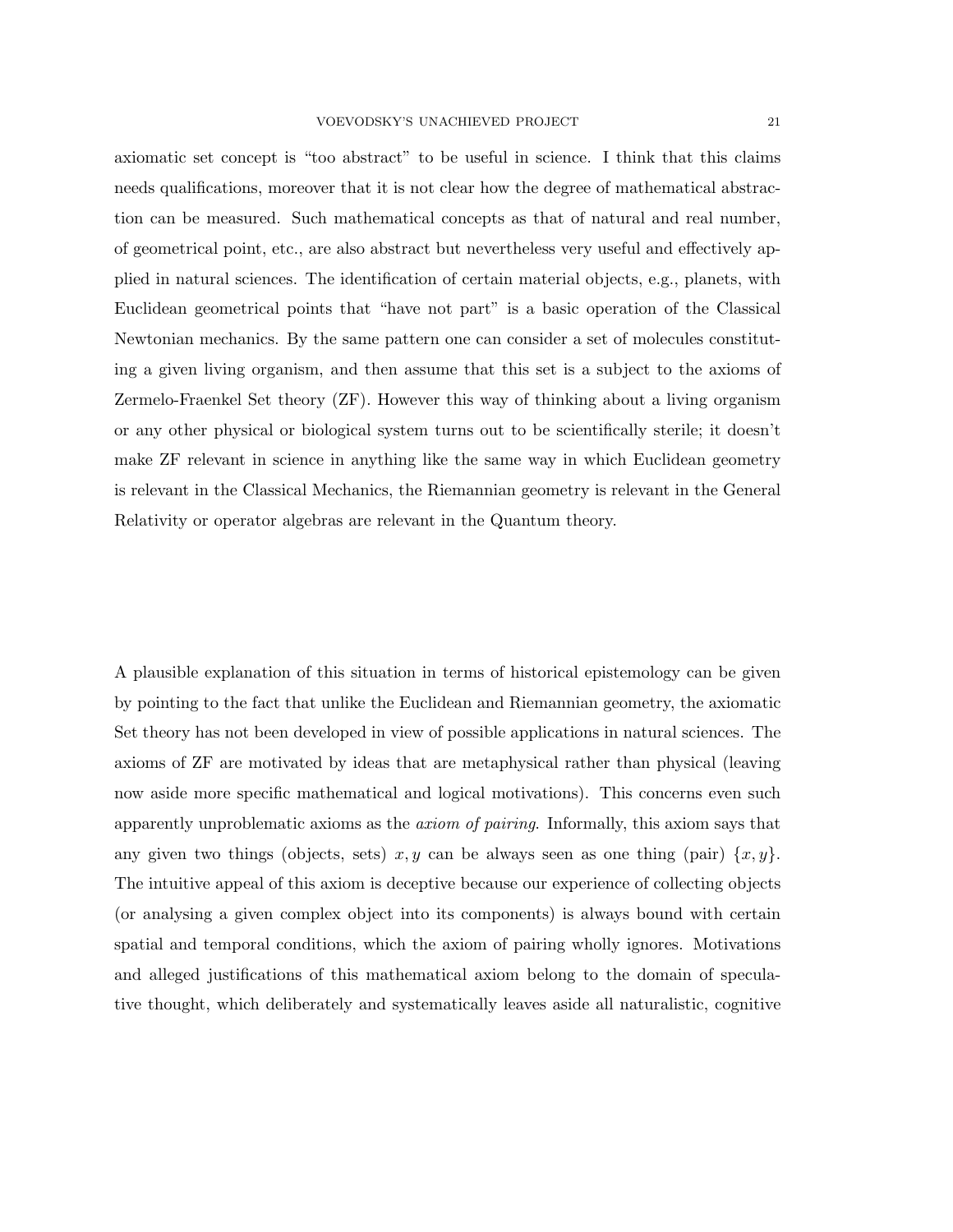axiomatic set concept is "too abstract" to be useful in science. I think that this claims needs qualifications, moreover that it is not clear how the degree of mathematical abstraction can be measured. Such mathematical concepts as that of natural and real number, of geometrical point, etc., are also abstract but nevertheless very useful and effectively applied in natural sciences. The identification of certain material objects, e.g., planets, with Euclidean geometrical points that "have not part" is a basic operation of the Classical Newtonian mechanics. By the same pattern one can consider a set of molecules constituting a given living organism, and then assume that this set is a subject to the axioms of Zermelo-Fraenkel Set theory (ZF). However this way of thinking about a living organism or any other physical or biological system turns out to be scientifically sterile; it doesn't make ZF relevant in science in anything like the same way in which Euclidean geometry is relevant in the Classical Mechanics, the Riemannian geometry is relevant in the General Relativity or operator algebras are relevant in the Quantum theory.

A plausible explanation of this situation in terms of historical epistemology can be given by pointing to the fact that unlike the Euclidean and Riemannian geometry, the axiomatic Set theory has not been developed in view of possible applications in natural sciences. The axioms of ZF are motivated by ideas that are metaphysical rather than physical (leaving now aside more specific mathematical and logical motivations). This concerns even such apparently unproblematic axioms as the axiom of pairing. Informally, this axiom says that any given two things (objects, sets)  $x, y$  can be always seen as one thing (pair)  $\{x, y\}$ . The intuitive appeal of this axiom is deceptive because our experience of collecting objects (or analysing a given complex object into its components) is always bound with certain spatial and temporal conditions, which the axiom of pairing wholly ignores. Motivations and alleged justifications of this mathematical axiom belong to the domain of speculative thought, which deliberately and systematically leaves aside all naturalistic, cognitive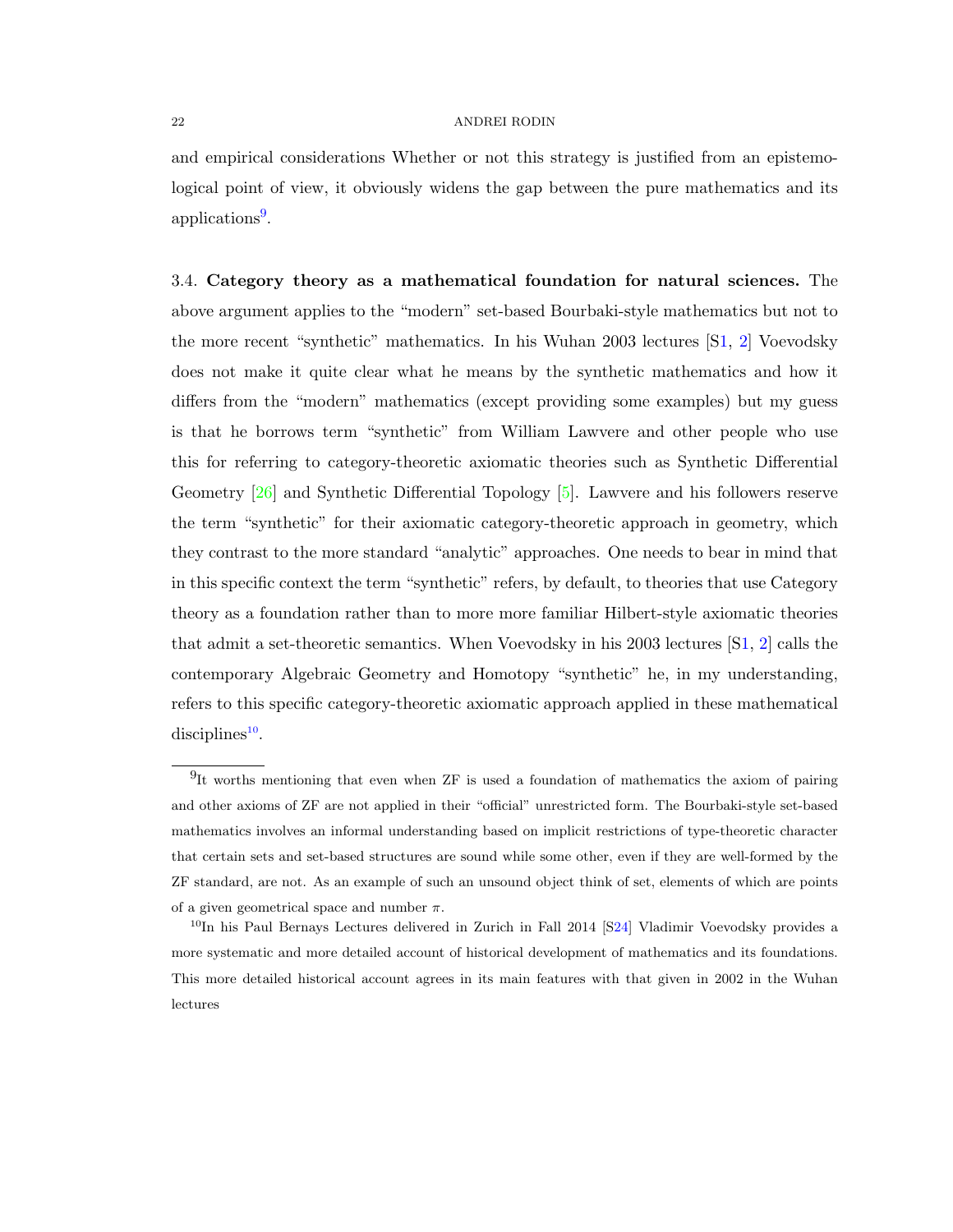and empirical considerations Whether or not this strategy is justified from an epistemological point of view, it obviously widens the gap between the pure mathematics and its applications<sup>[9](#page-21-0)</sup>.

3.4. Category theory as a mathematical foundation for natural sciences. The above argument applies to the "modern" set-based Bourbaki-style mathematics but not to the more recent "synthetic" mathematics. In his Wuhan 2003 lectures [[S1,](#page-27-0) [2\]](#page-27-1) Voevodsky does not make it quite clear what he means by the synthetic mathematics and how it differs from the "modern" mathematics (except providing some examples) but my guess is that he borrows term "synthetic" from William Lawvere and other people who use this for referring to category-theoretic axiomatic theories such as Synthetic Differential Geometry  $[26]$  and Synthetic Differential Topology  $[5]$ . Lawvere and his followers reserve the term "synthetic" for their axiomatic category-theoretic approach in geometry, which they contrast to the more standard "analytic" approaches. One needs to bear in mind that in this specific context the term "synthetic" refers, by default, to theories that use Category theory as a foundation rather than to more more familiar Hilbert-style axiomatic theories that admit a set-theoretic semantics. When Voevodsky in his 2003 lectures [[S1,](#page-27-0) [2\]](#page-27-1) calls the contemporary Algebraic Geometry and Homotopy "synthetic" he, in my understanding, refers to this specific category-theoretic axiomatic approach applied in these mathematical  $disciplines<sup>10</sup>$  $disciplines<sup>10</sup>$  $disciplines<sup>10</sup>$ .

<span id="page-21-0"></span><sup>&</sup>lt;sup>9</sup>It worths mentioning that even when ZF is used a foundation of mathematics the axiom of pairing and other axioms of ZF are not applied in their "official" unrestricted form. The Bourbaki-style set-based mathematics involves an informal understanding based on implicit restrictions of type-theoretic character that certain sets and set-based structures are sound while some other, even if they are well-formed by the ZF standard, are not. As an example of such an unsound object think of set, elements of which are points of a given geometrical space and number  $\pi$ .

<span id="page-21-1"></span><sup>&</sup>lt;sup>10</sup>In his Paul Bernays Lectures delivered in Zurich in Fall 2014 [[S24\]](#page-31-4) Vladimir Voevodsky provides a more systematic and more detailed account of historical development of mathematics and its foundations. This more detailed historical account agrees in its main features with that given in 2002 in the Wuhan lectures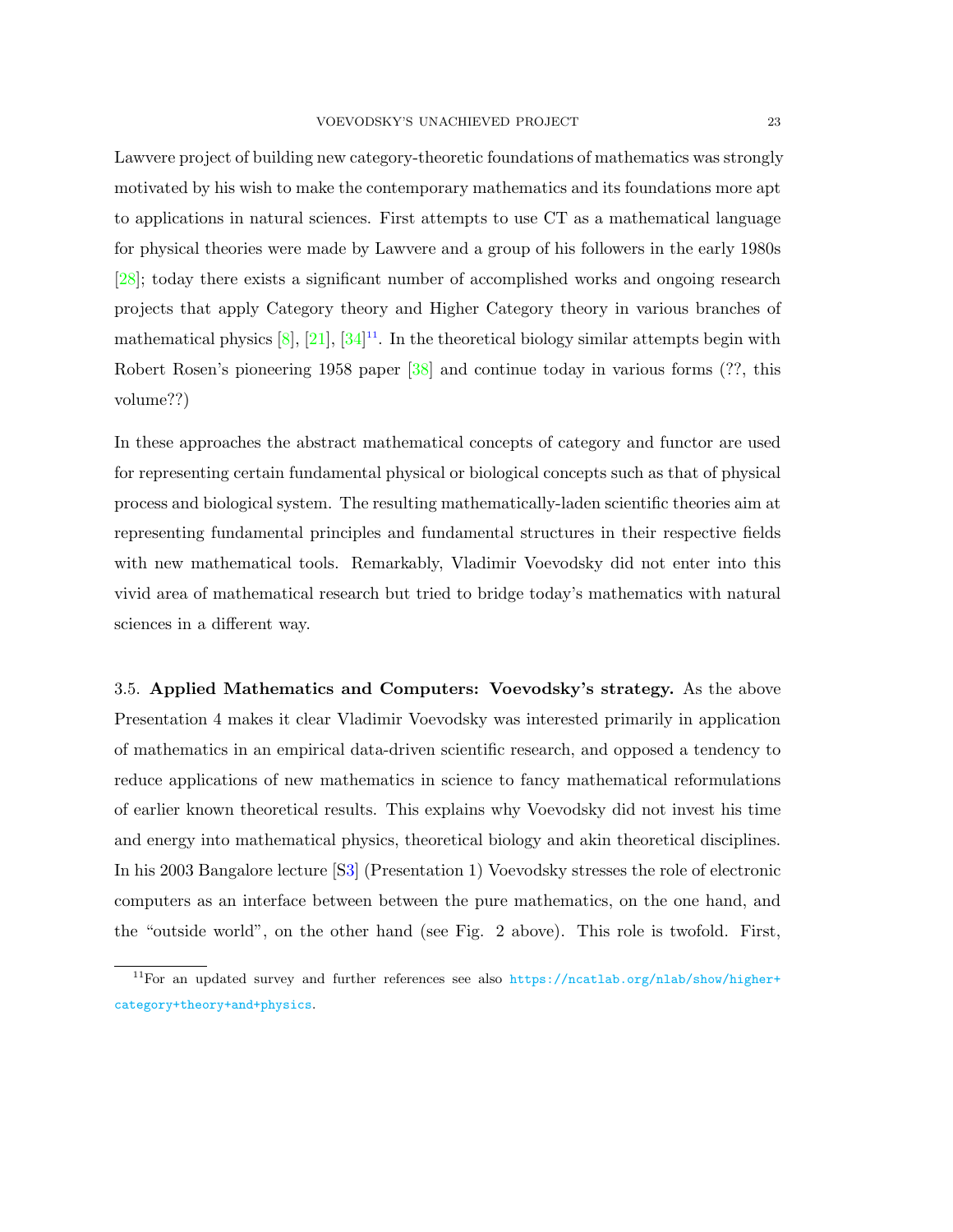Lawvere project of building new category-theoretic foundations of mathematics was strongly motivated by his wish to make the contemporary mathematics and its foundations more apt to applications in natural sciences. First attempts to use CT as a mathematical language for physical theories were made by Lawvere and a group of his followers in the early 1980s [\[28\]](#page-34-16); today there exists a significant number of accomplished works and ongoing research projects that apply Category theory and Higher Category theory in various branches of mathematical physics  $[8]$ ,  $[21]$ ,  $[34]^{11}$  $[34]^{11}$  $[34]^{11}$  $[34]^{11}$ . In the theoretical biology similar attempts begin with Robert Rosen's pioneering 1958 paper [\[38\]](#page-34-18) and continue today in various forms (??, this volume??)

In these approaches the abstract mathematical concepts of category and functor are used for representing certain fundamental physical or biological concepts such as that of physical process and biological system. The resulting mathematically-laden scientific theories aim at representing fundamental principles and fundamental structures in their respective fields with new mathematical tools. Remarkably, Vladimir Voevodsky did not enter into this vivid area of mathematical research but tried to bridge today's mathematics with natural sciences in a different way.

3.5. Applied Mathematics and Computers: Voevodsky's strategy. As the above Presentation 4 makes it clear Vladimir Voevodsky was interested primarily in application of mathematics in an empirical data-driven scientific research, and opposed a tendency to reduce applications of new mathematics in science to fancy mathematical reformulations of earlier known theoretical results. This explains why Voevodsky did not invest his time and energy into mathematical physics, theoretical biology and akin theoretical disciplines. In his 2003 Bangalore lecture [[S3\]](#page-28-4) (Presentation 1) Voevodsky stresses the role of electronic computers as an interface between between the pure mathematics, on the one hand, and the "outside world", on the other hand (see Fig. 2 above). This role is twofold. First,

<span id="page-22-0"></span><sup>&</sup>lt;sup>11</sup>For an updated survey and further references see also [https://ncatlab.org/nlab/show/higher+](https://ncatlab.org/nlab/show/higher+category+theory+and+physics) [category+theory+and+physics](https://ncatlab.org/nlab/show/higher+category+theory+and+physics).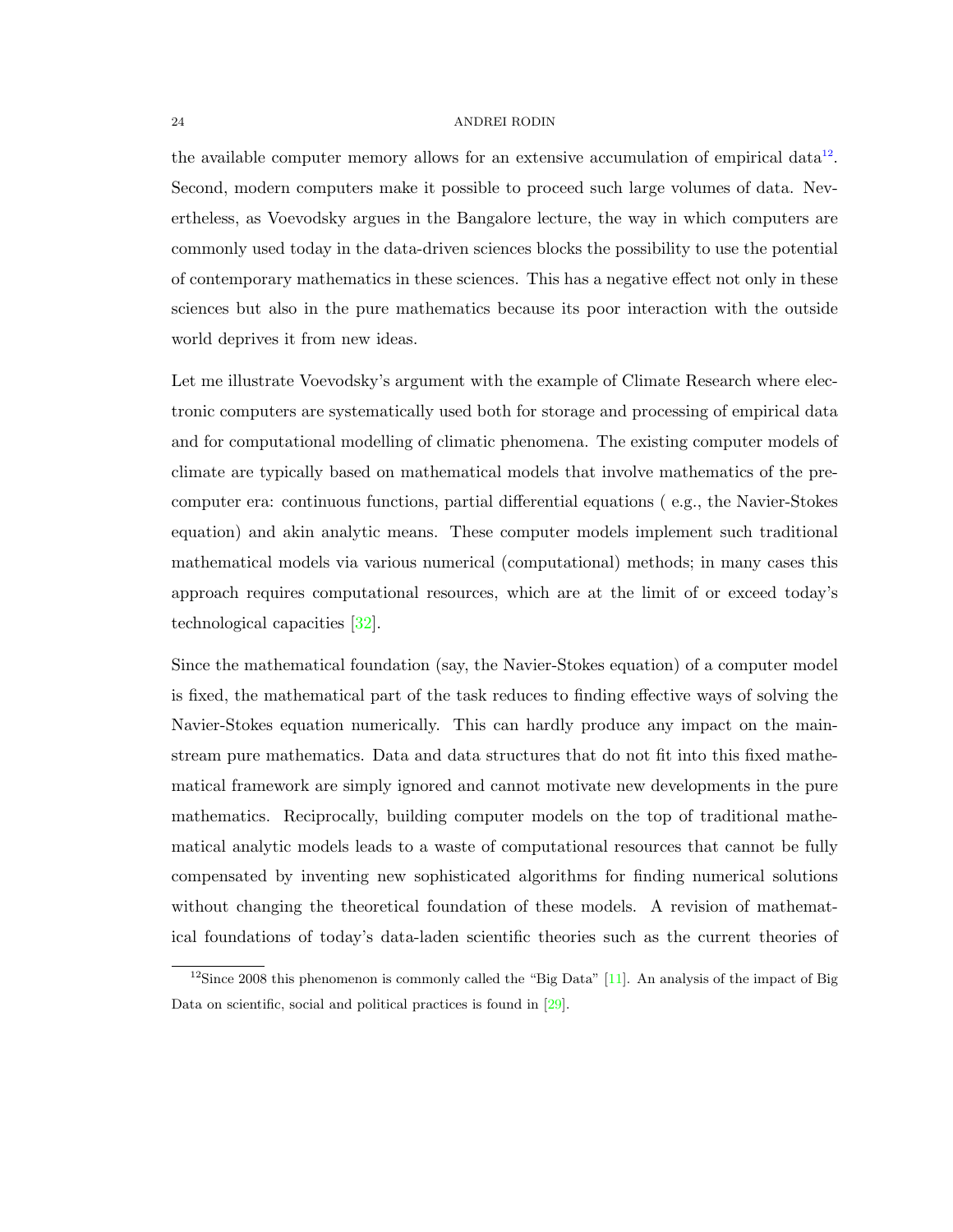the available computer memory allows for an extensive accumulation of empirical data<sup>[12](#page-23-0)</sup>. Second, modern computers make it possible to proceed such large volumes of data. Nevertheless, as Voevodsky argues in the Bangalore lecture, the way in which computers are commonly used today in the data-driven sciences blocks the possibility to use the potential of contemporary mathematics in these sciences. This has a negative effect not only in these sciences but also in the pure mathematics because its poor interaction with the outside world deprives it from new ideas.

Let me illustrate Voevodsky's argument with the example of Climate Research where electronic computers are systematically used both for storage and processing of empirical data and for computational modelling of climatic phenomena. The existing computer models of climate are typically based on mathematical models that involve mathematics of the precomputer era: continuous functions, partial differential equations ( e.g., the Navier-Stokes equation) and akin analytic means. These computer models implement such traditional mathematical models via various numerical (computational) methods; in many cases this approach requires computational resources, which are at the limit of or exceed today's technological capacities [\[32\]](#page-34-19).

Since the mathematical foundation (say, the Navier-Stokes equation) of a computer model is fixed, the mathematical part of the task reduces to finding effective ways of solving the Navier-Stokes equation numerically. This can hardly produce any impact on the mainstream pure mathematics. Data and data structures that do not fit into this fixed mathematical framework are simply ignored and cannot motivate new developments in the pure mathematics. Reciprocally, building computer models on the top of traditional mathematical analytic models leads to a waste of computational resources that cannot be fully compensated by inventing new sophisticated algorithms for finding numerical solutions without changing the theoretical foundation of these models. A revision of mathematical foundations of today's data-laden scientific theories such as the current theories of

<span id="page-23-0"></span><sup>&</sup>lt;sup>12</sup>Since 2008 this phenomenon is commonly called the "Big Data" [\[11\]](#page-33-13). An analysis of the impact of Big Data on scientific, social and political practices is found in [\[29\]](#page-34-20).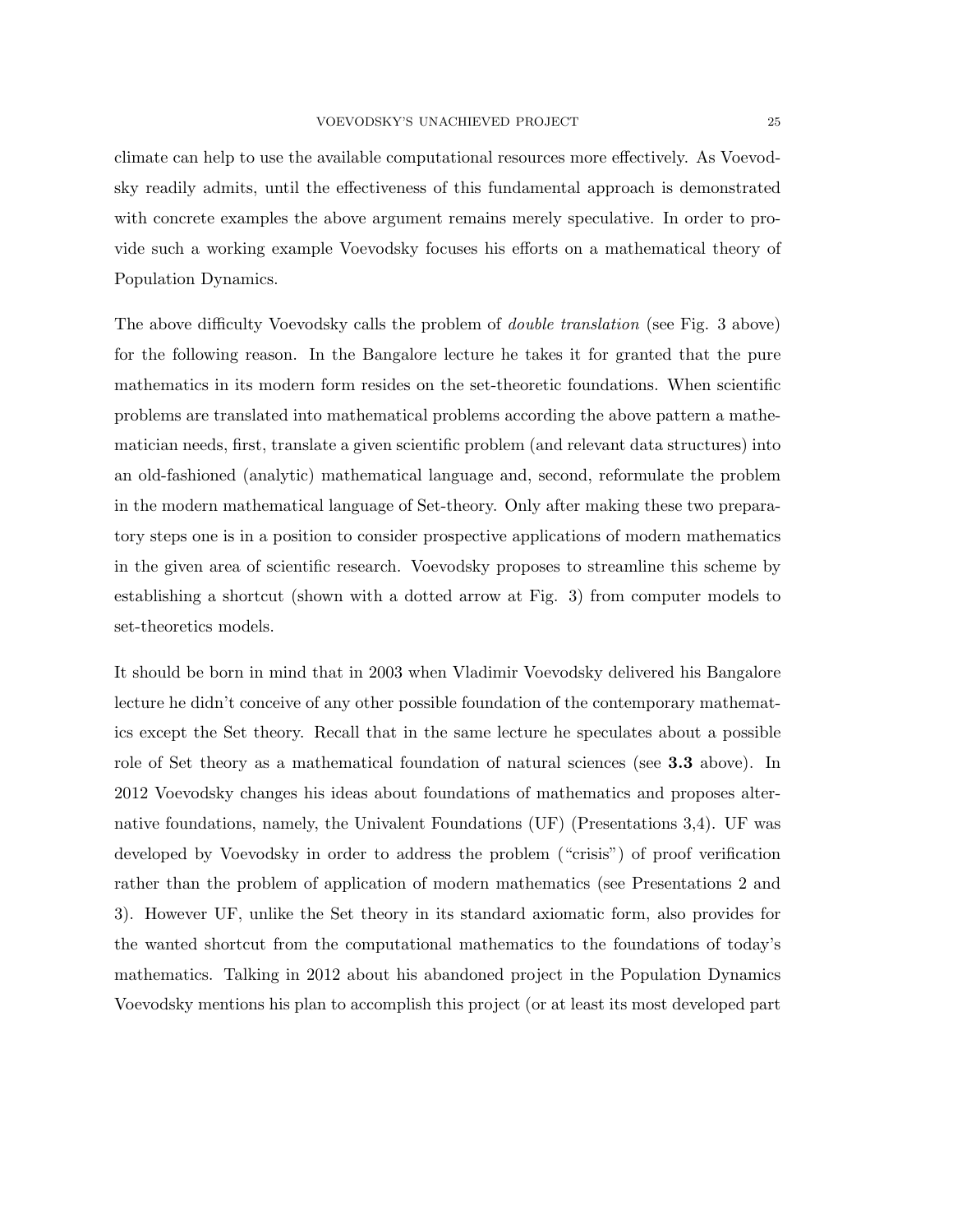climate can help to use the available computational resources more effectively. As Voevodsky readily admits, until the effectiveness of this fundamental approach is demonstrated with concrete examples the above argument remains merely speculative. In order to provide such a working example Voevodsky focuses his efforts on a mathematical theory of Population Dynamics.

The above difficulty Voevodsky calls the problem of double translation (see Fig. 3 above) for the following reason. In the Bangalore lecture he takes it for granted that the pure mathematics in its modern form resides on the set-theoretic foundations. When scientific problems are translated into mathematical problems according the above pattern a mathematician needs, first, translate a given scientific problem (and relevant data structures) into an old-fashioned (analytic) mathematical language and, second, reformulate the problem in the modern mathematical language of Set-theory. Only after making these two preparatory steps one is in a position to consider prospective applications of modern mathematics in the given area of scientific research. Voevodsky proposes to streamline this scheme by establishing a shortcut (shown with a dotted arrow at Fig. 3) from computer models to set-theoretics models.

It should be born in mind that in 2003 when Vladimir Voevodsky delivered his Bangalore lecture he didn't conceive of any other possible foundation of the contemporary mathematics except the Set theory. Recall that in the same lecture he speculates about a possible role of Set theory as a mathematical foundation of natural sciences (see 3.3 above). In 2012 Voevodsky changes his ideas about foundations of mathematics and proposes alternative foundations, namely, the Univalent Foundations (UF) (Presentations 3,4). UF was developed by Voevodsky in order to address the problem ("crisis") of proof verification rather than the problem of application of modern mathematics (see Presentations 2 and 3). However UF, unlike the Set theory in its standard axiomatic form, also provides for the wanted shortcut from the computational mathematics to the foundations of today's mathematics. Talking in 2012 about his abandoned project in the Population Dynamics Voevodsky mentions his plan to accomplish this project (or at least its most developed part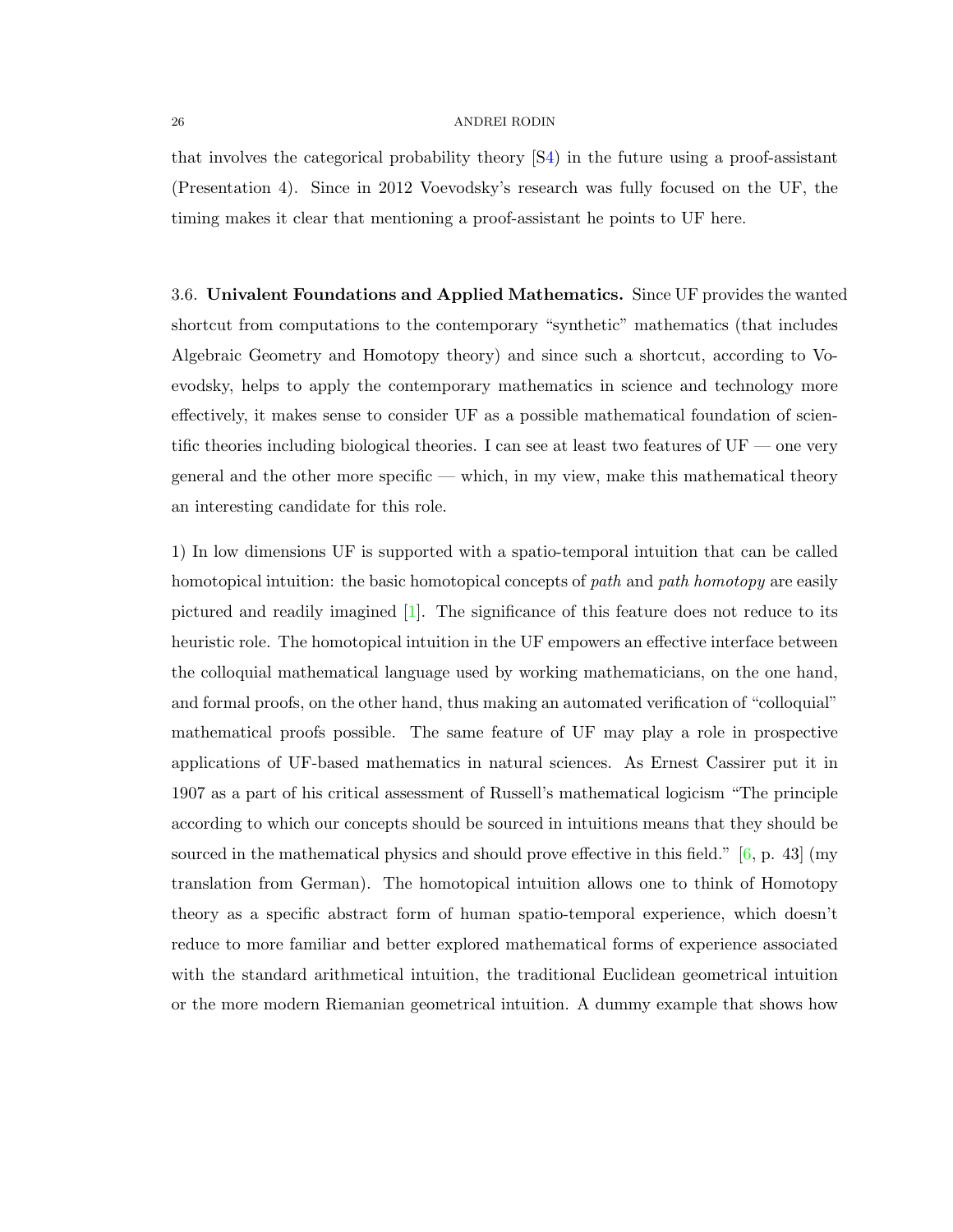that involves the categorical probability theory [[S4\)](#page-28-2) in the future using a proof-assistant (Presentation 4). Since in 2012 Voevodsky's research was fully focused on the UF, the timing makes it clear that mentioning a proof-assistant he points to UF here.

3.6. Univalent Foundations and Applied Mathematics. Since UF provides the wanted shortcut from computations to the contemporary "synthetic" mathematics (that includes Algebraic Geometry and Homotopy theory) and since such a shortcut, according to Voevodsky, helps to apply the contemporary mathematics in science and technology more effectively, it makes sense to consider UF as a possible mathematical foundation of scientific theories including biological theories. I can see at least two features of  $UF$  — one very general and the other more specific — which, in my view, make this mathematical theory an interesting candidate for this role.

1) In low dimensions UF is supported with a spatio-temporal intuition that can be called homotopical intuition: the basic homotopical concepts of path and path homotopy are easily pictured and readily imagined  $[1]$ . The significance of this feature does not reduce to its heuristic role. The homotopical intuition in the UF empowers an effective interface between the colloquial mathematical language used by working mathematicians, on the one hand, and formal proofs, on the other hand, thus making an automated verification of "colloquial" mathematical proofs possible. The same feature of UF may play a role in prospective applications of UF-based mathematics in natural sciences. As Ernest Cassirer put it in 1907 as a part of his critical assessment of Russell's mathematical logicism "The principle according to which our concepts should be sourced in intuitions means that they should be sourced in the mathematical physics and should prove effective in this field."  $[6, p. 43]$  $[6, p. 43]$  (my translation from German). The homotopical intuition allows one to think of Homotopy theory as a specific abstract form of human spatio-temporal experience, which doesn't reduce to more familiar and better explored mathematical forms of experience associated with the standard arithmetical intuition, the traditional Euclidean geometrical intuition or the more modern Riemanian geometrical intuition. A dummy example that shows how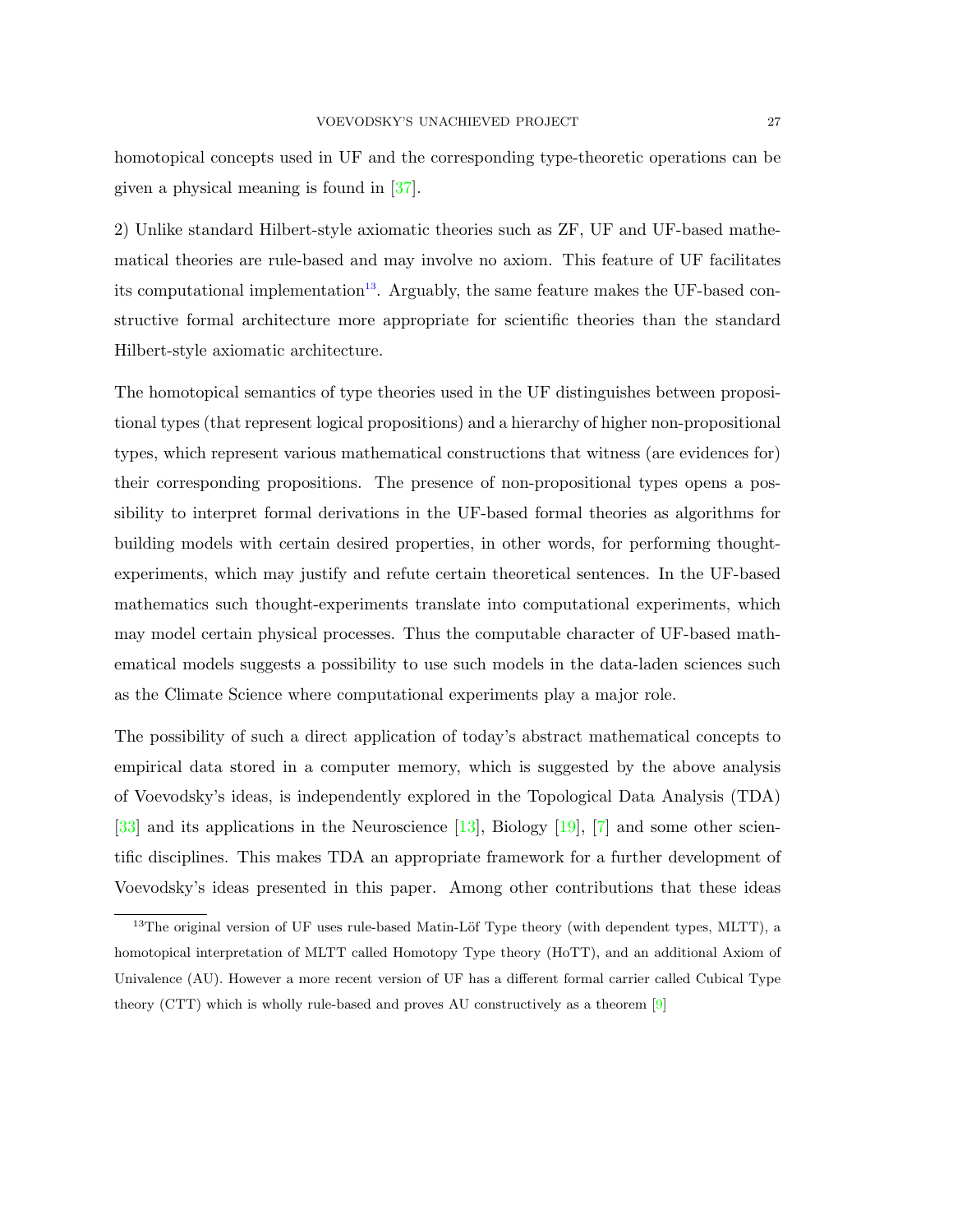homotopical concepts used in UF and the corresponding type-theoretic operations can be given a physical meaning is found in [\[37\]](#page-34-21).

2) Unlike standard Hilbert-style axiomatic theories such as ZF, UF and UF-based mathematical theories are rule-based and may involve no axiom. This feature of UF facilitates its computational implementation<sup>[13](#page-26-0)</sup>. Arguably, the same feature makes the UF-based constructive formal architecture more appropriate for scientific theories than the standard Hilbert-style axiomatic architecture.

The homotopical semantics of type theories used in the UF distinguishes between propositional types (that represent logical propositions) and a hierarchy of higher non-propositional types, which represent various mathematical constructions that witness (are evidences for) their corresponding propositions. The presence of non-propositional types opens a possibility to interpret formal derivations in the UF-based formal theories as algorithms for building models with certain desired properties, in other words, for performing thoughtexperiments, which may justify and refute certain theoretical sentences. In the UF-based mathematics such thought-experiments translate into computational experiments, which may model certain physical processes. Thus the computable character of UF-based mathematical models suggests a possibility to use such models in the data-laden sciences such as the Climate Science where computational experiments play a major role.

The possibility of such a direct application of today's abstract mathematical concepts to empirical data stored in a computer memory, which is suggested by the above analysis of Voevodsky's ideas, is independently explored in the Topological Data Analysis (TDA) [\[33\]](#page-34-22) and its applications in the Neuroscience [\[13\]](#page-33-15), Biology [\[19\]](#page-33-16), [\[7\]](#page-33-17) and some other scientific disciplines. This makes TDA an appropriate framework for a further development of Voevodsky's ideas presented in this paper. Among other contributions that these ideas

<span id="page-26-0"></span> $13$ The original version of UF uses rule-based Matin-Löf Type theory (with dependent types, MLTT), a homotopical interpretation of MLTT called Homotopy Type theory (HoTT), and an additional Axiom of Univalence (AU). However a more recent version of UF has a different formal carrier called Cubical Type theory (CTT) which is wholly rule-based and proves AU constructively as a theorem [\[9\]](#page-33-18)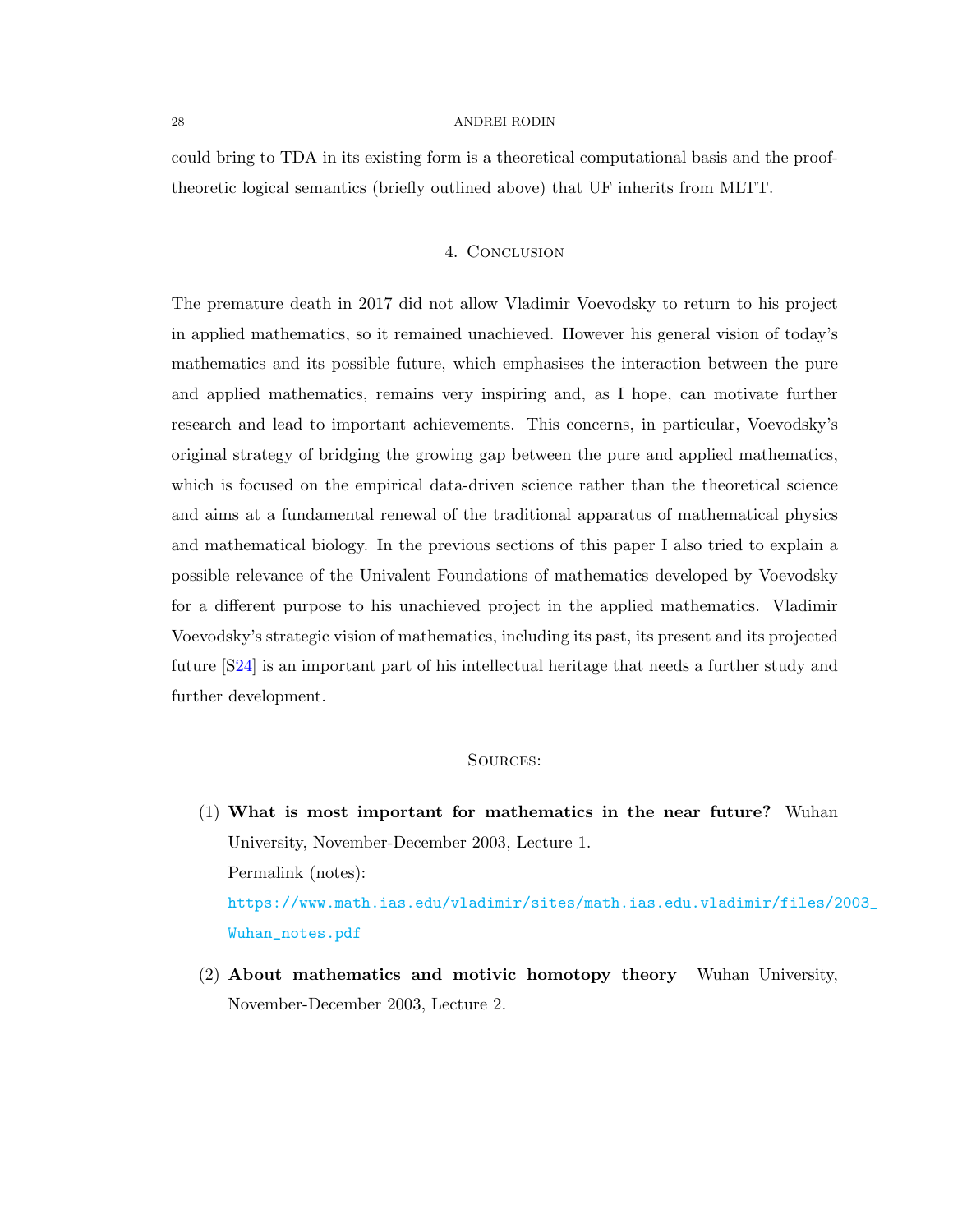could bring to TDA in its existing form is a theoretical computational basis and the prooftheoretic logical semantics (briefly outlined above) that UF inherits from MLTT.

## 4. Conclusion

The premature death in 2017 did not allow Vladimir Voevodsky to return to his project in applied mathematics, so it remained unachieved. However his general vision of today's mathematics and its possible future, which emphasises the interaction between the pure and applied mathematics, remains very inspiring and, as I hope, can motivate further research and lead to important achievements. This concerns, in particular, Voevodsky's original strategy of bridging the growing gap between the pure and applied mathematics, which is focused on the empirical data-driven science rather than the theoretical science and aims at a fundamental renewal of the traditional apparatus of mathematical physics and mathematical biology. In the previous sections of this paper I also tried to explain a possible relevance of the Univalent Foundations of mathematics developed by Voevodsky for a different purpose to his unachieved project in the applied mathematics. Vladimir Voevodsky's strategic vision of mathematics, including its past, its present and its projected future [[S24\]](#page-31-4) is an important part of his intellectual heritage that needs a further study and further development.

# Sources:

- <span id="page-27-0"></span>(1) What is most important for mathematics in the near future? Wuhan University, November-December 2003, Lecture 1. Permalink (notes): [https://www.math.ias.edu/vladimir/sites/math.ias.edu.vladimir/files/2](https://www.math.ias.edu/vladimir/sites/math.ias.edu.vladimir/files/2003_Wuhan_notes.pdf)003\_ [Wuhan\\_notes.pdf](https://www.math.ias.edu/vladimir/sites/math.ias.edu.vladimir/files/2003_Wuhan_notes.pdf)
- <span id="page-27-1"></span>(2) About mathematics and motivic homotopy theory Wuhan University, November-December 2003, Lecture 2.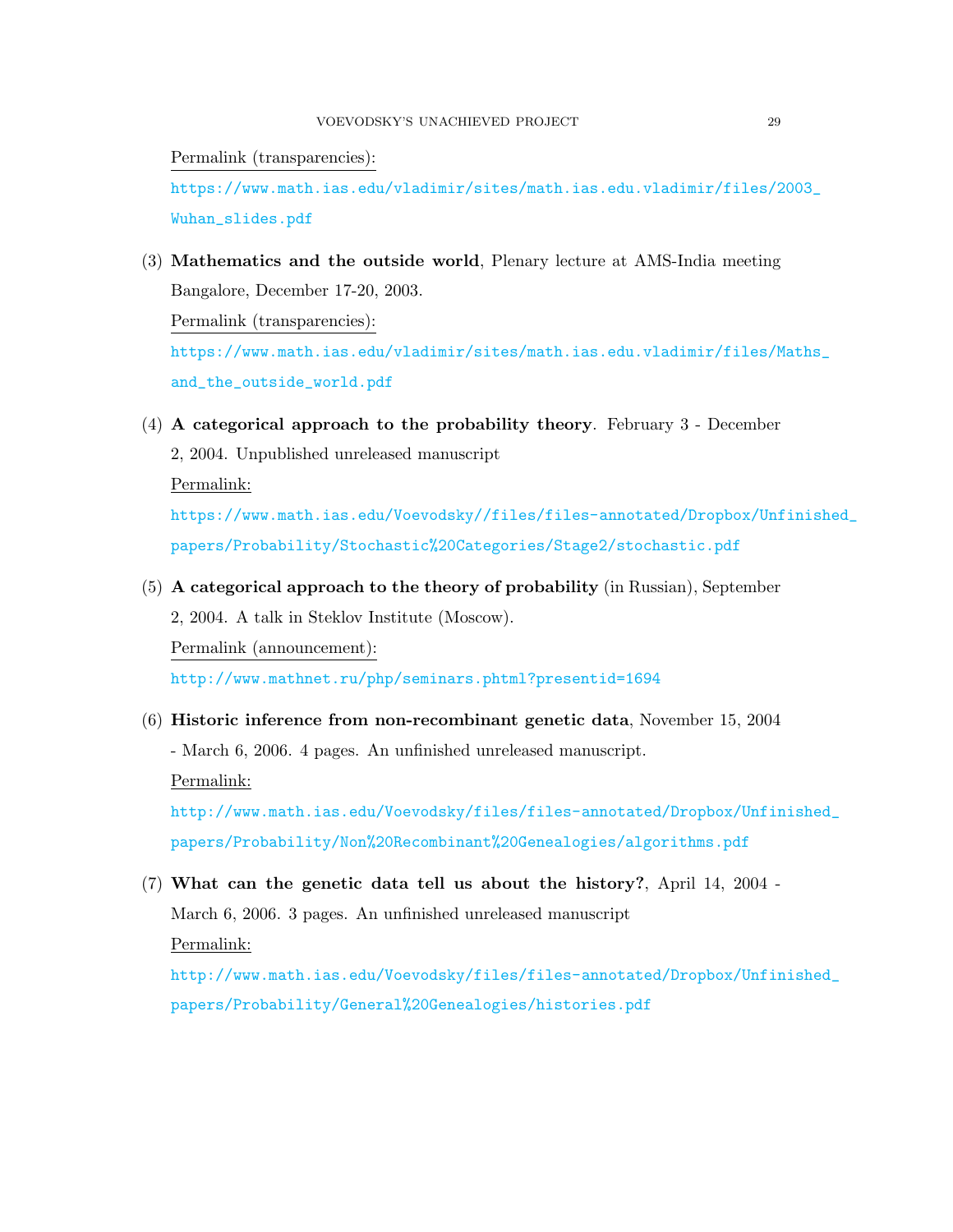Permalink (transparencies):

[https://www.math.ias.edu/vladimir/sites/math.ias.edu.vladimir/files/2](https://www.math.ias.edu/vladimir/sites/math.ias.edu.vladimir/files/2003_Wuhan_slides.pdf)003\_ [Wuhan\\_slides.pdf](https://www.math.ias.edu/vladimir/sites/math.ias.edu.vladimir/files/2003_Wuhan_slides.pdf)

- <span id="page-28-4"></span>(3) Mathematics and the outside world, Plenary lecture at AMS-India meeting Bangalore, December 17-20, 2003. Permalink (transparencies): [https://www.math.ias.edu/vladimir/sites/math.ias.edu.vladimir/files/M](https://www.math.ias.edu/vladimir/sites/math.ias.edu.vladimir/files/Maths_and_the_outside_world.pdf)aths\_ [and\\_the\\_outside\\_world.pdf](https://www.math.ias.edu/vladimir/sites/math.ias.edu.vladimir/files/Maths_and_the_outside_world.pdf)
- <span id="page-28-2"></span>(4) A categorical approach to the probability theory. February 3 - December

2, 2004. Unpublished unreleased manuscript

Permalink:

[https://www.math.ias.edu/Voevodsky//files/files-annotated/Dropbox/Unf](https://www.math.ias.edu/Voevodsky//files/files-annotated/Dropbox/Unfinished_papers/Probability/Stochastic%20Categories/Stage2/stochastic.pdf)inished\_ [papers/Probability/Stochastic%20Categories/Stage2/stochastic.pdf](https://www.math.ias.edu/Voevodsky//files/files-annotated/Dropbox/Unfinished_papers/Probability/Stochastic%20Categories/Stage2/stochastic.pdf)

<span id="page-28-3"></span>(5) A categorical approach to the theory of probability (in Russian), September 2, 2004. A talk in Steklov Institute (Moscow).

Permalink (announcement):

<http://www.mathnet.ru/php/seminars.phtml?presentid=1694>

<span id="page-28-0"></span>(6) Historic inference from non-recombinant genetic data, November 15, 2004

- March 6, 2006. 4 pages. An unfinished unreleased manuscript.

Permalink:

[http://www.math.ias.edu/Voevodsky/files/files-annotated/Dropbox/Unfin](http://www.math.ias.edu/Voevodsky/files/files-annotated/Dropbox/Unfinished_papers/Probability/Non%20Recombinant%20Genealogies/algorithms.pdf)ished\_ [papers/Probability/Non%20Recombinant%20Genealogies/algorithms.pdf](http://www.math.ias.edu/Voevodsky/files/files-annotated/Dropbox/Unfinished_papers/Probability/Non%20Recombinant%20Genealogies/algorithms.pdf)

<span id="page-28-1"></span>(7) What can the genetic data tell us about the history?, April 14, 2004 - March 6, 2006. 3 pages. An unfinished unreleased manuscript Permalink:

[http://www.math.ias.edu/Voevodsky/files/files-annotated/Dropbox/Unfin](http://www.math.ias.edu/Voevodsky/files/files-annotated/Dropbox/Unfinished_papers/Probability/General%20Genealogies/histories.pdf)ished\_ [papers/Probability/General%20Genealogies/histories.pdf](http://www.math.ias.edu/Voevodsky/files/files-annotated/Dropbox/Unfinished_papers/Probability/General%20Genealogies/histories.pdf)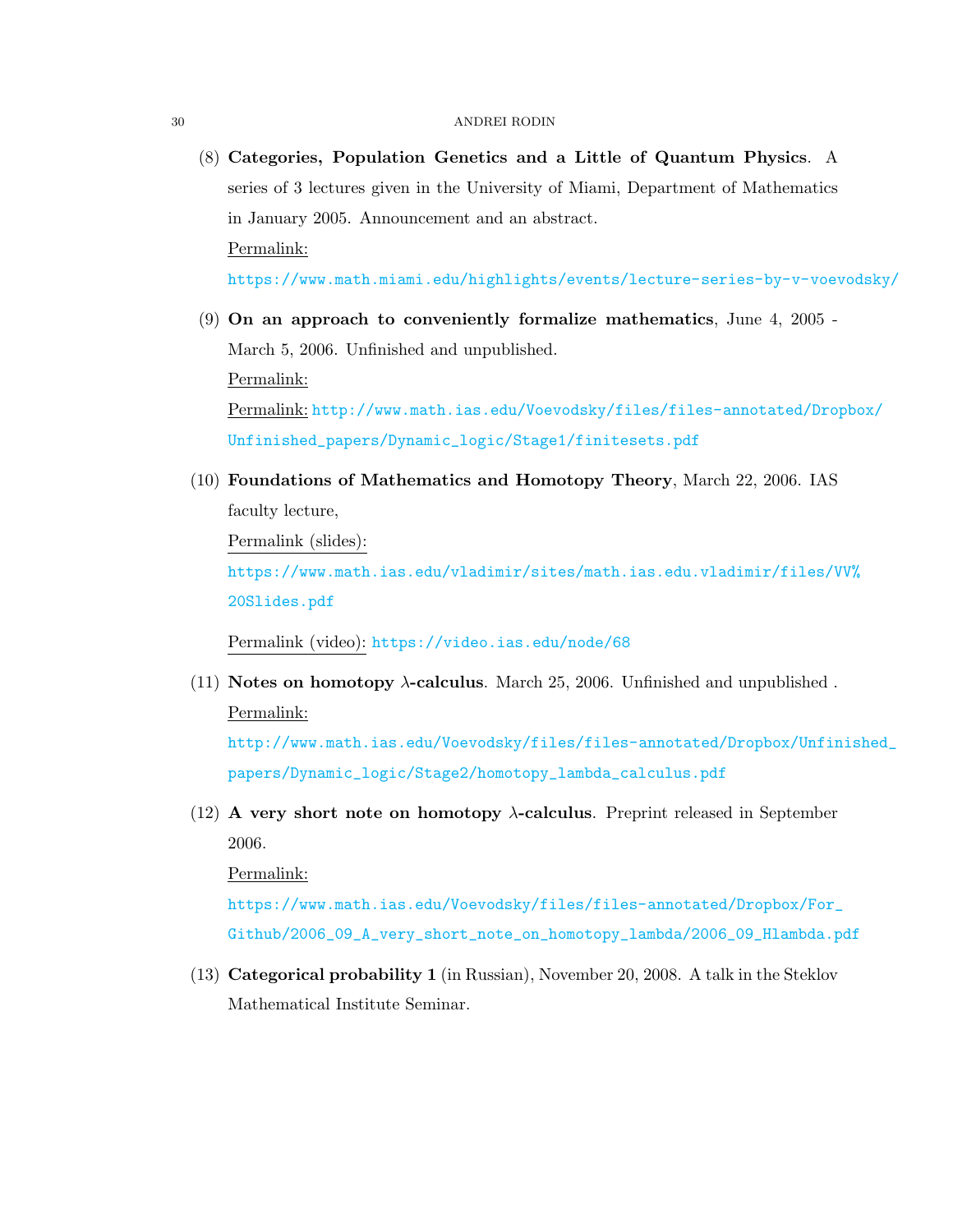<span id="page-29-0"></span>(8) Categories, Population Genetics and a Little of Quantum Physics. A series of 3 lectures given in the University of Miami, Department of Mathematics in January 2005. Announcement and an abstract. Permalink:

<https://www.math.miami.edu/highlights/events/lecture-series-by-v-voevodsky/>

<span id="page-29-2"></span>(9) On an approach to conveniently formalize mathematics, June 4, 2005 - March 5, 2006. Unfinished and unpublished. Permalink:

Permalink: [http://www.math.ias.edu/Voevodsky/files/files-annotated/Drop](http://www.math.ias.edu/Voevodsky/files/files-annotated/Dropbox/Unfinished_papers/Dynamic_logic/Stage1/finitesets.pdf)box/ [Unfinished\\_papers/Dynamic\\_logic/Stage1/finitesets.pdf](http://www.math.ias.edu/Voevodsky/files/files-annotated/Dropbox/Unfinished_papers/Dynamic_logic/Stage1/finitesets.pdf)

<span id="page-29-3"></span>(10) Foundations of Mathematics and Homotopy Theory, March 22, 2006. IAS faculty lecture,

Permalink (slides):

[https://www.math.ias.edu/vladimir/sites/math.ias.edu.vladimir/files/V](https://www.math.ias.edu/vladimir/sites/math.ias.edu.vladimir/files/VV%20Slides.pdf)V% [20Slides.pdf](https://www.math.ias.edu/vladimir/sites/math.ias.edu.vladimir/files/VV%20Slides.pdf)

Permalink (video): <https://video.ias.edu/node/68>

<span id="page-29-4"></span>(11) Notes on homotopy  $\lambda$ -calculus. March 25, 2006. Unfinished and unpublished. Permalink:

[http://www.math.ias.edu/Voevodsky/files/files-annotated/Dropbox/Unfin](http://www.math.ias.edu/Voevodsky/files/files-annotated/Dropbox/Unfinished_papers/Dynamic_logic/Stage2/homotopy_lambda_calculus.pdf)ished\_ [papers/Dynamic\\_logic/Stage2/homotopy\\_lambda\\_calculus.pdf](http://www.math.ias.edu/Voevodsky/files/files-annotated/Dropbox/Unfinished_papers/Dynamic_logic/Stage2/homotopy_lambda_calculus.pdf)

<span id="page-29-5"></span> $(12)$  A very short note on homotopy  $\lambda$ -calculus. Preprint released in September 2006.

Permalink:

[https://www.math.ias.edu/Voevodsky/files/files-annotated/Dropbox/For\\_](https://www.math.ias.edu/Voevodsky/files/files-annotated/Dropbox/For_Github/2006_09_A_very_short_note_on_homotopy_lambda/2006_09_Hlambda.pdf) [Github/2006\\_09\\_A\\_very\\_short\\_note\\_on\\_homotopy\\_lambda/2006\\_09\\_Hlambda.pdf](https://www.math.ias.edu/Voevodsky/files/files-annotated/Dropbox/For_Github/2006_09_A_very_short_note_on_homotopy_lambda/2006_09_Hlambda.pdf)

<span id="page-29-1"></span>(13) Categorical probability 1 (in Russian), November 20, 2008. A talk in the Steklov Mathematical Institute Seminar.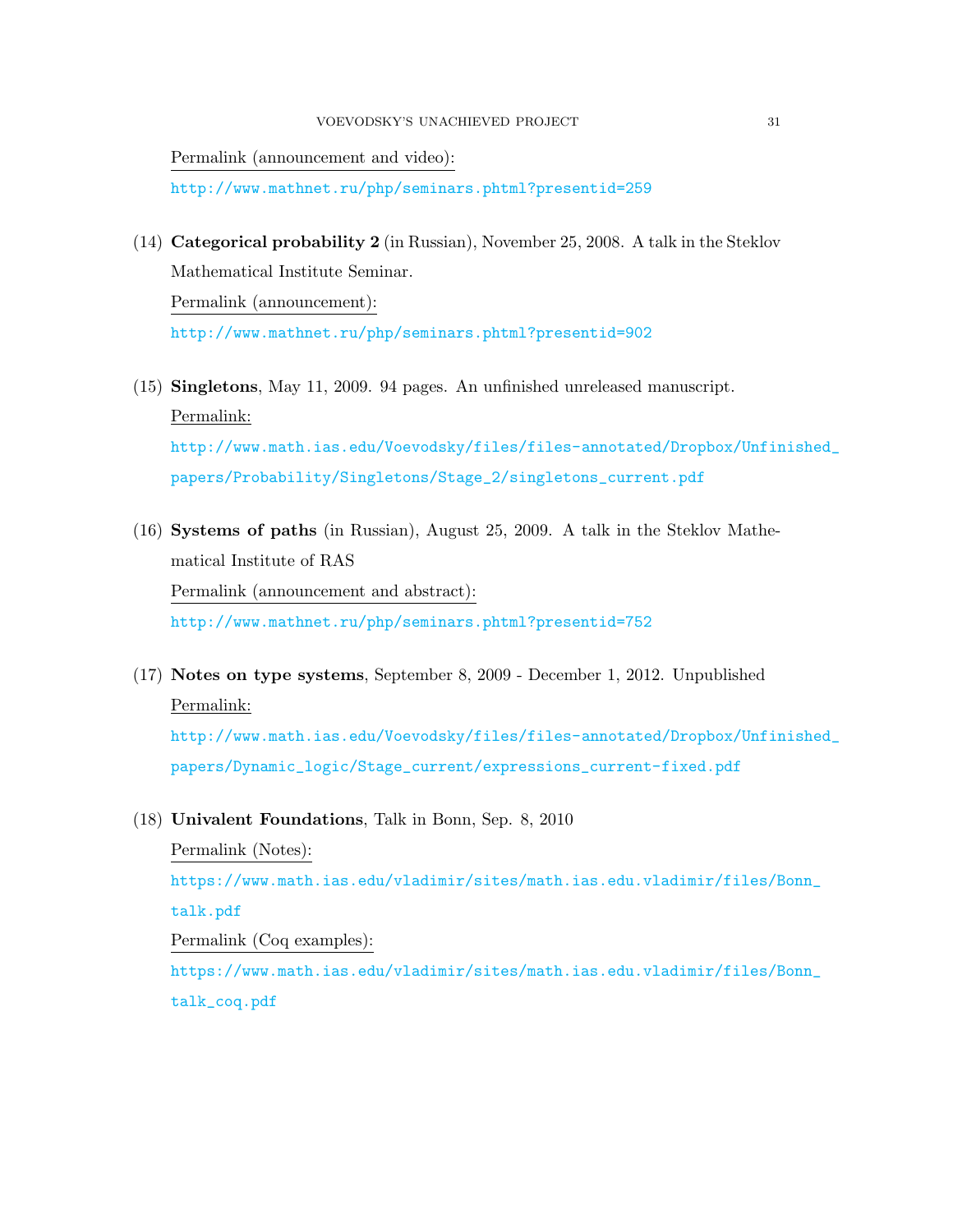Permalink (announcement and video):

<http://www.mathnet.ru/php/seminars.phtml?presentid=259>

- <span id="page-30-1"></span>(14) Categorical probability 2 (in Russian), November 25, 2008. A talk in the Steklov Mathematical Institute Seminar. Permalink (announcement): <http://www.mathnet.ru/php/seminars.phtml?presentid=902>
- <span id="page-30-0"></span>(15) Singletons, May 11, 2009. 94 pages. An unfinished unreleased manuscript. Permalink:

[http://www.math.ias.edu/Voevodsky/files/files-annotated/Dropbox/Unfin](http://www.math.ias.edu/Voevodsky/files/files-annotated/Dropbox/Unfinished_papers/Probability/Singletons/Stage_2/singletons_current.pdf)ished\_ [papers/Probability/Singletons/Stage\\_2/singletons\\_current.pdf](http://www.math.ias.edu/Voevodsky/files/files-annotated/Dropbox/Unfinished_papers/Probability/Singletons/Stage_2/singletons_current.pdf)

- <span id="page-30-2"></span>(16) Systems of paths (in Russian), August 25, 2009. A talk in the Steklov Mathematical Institute of RAS Permalink (announcement and abstract): <http://www.mathnet.ru/php/seminars.phtml?presentid=752>
- <span id="page-30-3"></span>(17) Notes on type systems, September 8, 2009 - December 1, 2012. Unpublished Permalink:

[http://www.math.ias.edu/Voevodsky/files/files-annotated/Dropbox/Unfin](http://www.math.ias.edu/Voevodsky/files/files-annotated/Dropbox/Unfinished_papers/Dynamic_logic/Stage_current/expressions_current-fixed.pdf)ished\_ [papers/Dynamic\\_logic/Stage\\_current/expressions\\_current-fixed.pdf](http://www.math.ias.edu/Voevodsky/files/files-annotated/Dropbox/Unfinished_papers/Dynamic_logic/Stage_current/expressions_current-fixed.pdf)

<span id="page-30-4"></span>(18) Univalent Foundations, Talk in Bonn, Sep. 8, 2010

Permalink (Notes):

[https://www.math.ias.edu/vladimir/sites/math.ias.edu.vladimir/files/B](https://www.math.ias.edu/vladimir/sites/math.ias.edu.vladimir/files/Bonn_talk.pdf)onn\_ [talk.pdf](https://www.math.ias.edu/vladimir/sites/math.ias.edu.vladimir/files/Bonn_talk.pdf)

Permalink (Coq examples):

<span id="page-30-5"></span>[https://www.math.ias.edu/vladimir/sites/math.ias.edu.vladimir/files/B](https://www.math.ias.edu/vladimir/sites/math.ias.edu.vladimir/files/Bonn_talk_coq.pdf)onn\_ [talk\\_coq.pdf](https://www.math.ias.edu/vladimir/sites/math.ias.edu.vladimir/files/Bonn_talk_coq.pdf)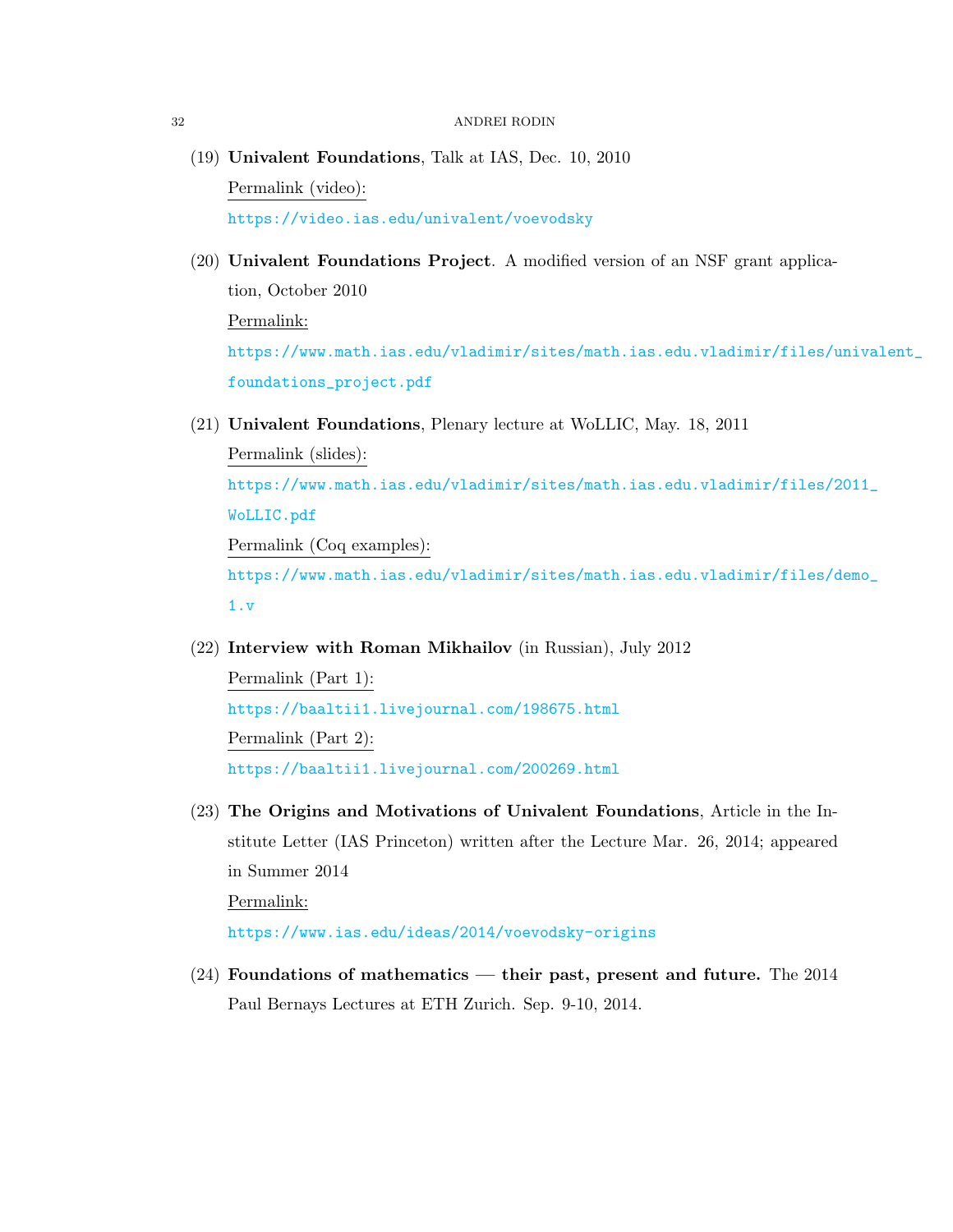- (19) Univalent Foundations, Talk at IAS, Dec. 10, 2010 Permalink (video): <https://video.ias.edu/univalent/voevodsky>
- <span id="page-31-0"></span>(20) Univalent Foundations Project. A modified version of an NSF grant application, October 2010 Permalink: [https://www.math.ias.edu/vladimir/sites/math.ias.edu.vladimir/files/u](https://www.math.ias.edu/vladimir/sites/math.ias.edu.vladimir/files/univalent_foundations_project.pdf)nivalent\_

[foundations\\_project.pdf](https://www.math.ias.edu/vladimir/sites/math.ias.edu.vladimir/files/univalent_foundations_project.pdf)

<span id="page-31-1"></span>(21) Univalent Foundations, Plenary lecture at WoLLIC, May. 18, 2011

Permalink (slides): [https://www.math.ias.edu/vladimir/sites/math.ias.edu.vladimir/files/2](https://www.math.ias.edu/vladimir/sites/math.ias.edu.vladimir/files/2011_WoLLIC.pdf)011\_ [WoLLIC.pdf](https://www.math.ias.edu/vladimir/sites/math.ias.edu.vladimir/files/2011_WoLLIC.pdf) Permalink (Coq examples): [https://www.math.ias.edu/vladimir/sites/math.ias.edu.vladimir/files/d](https://www.math.ias.edu/vladimir/sites/math.ias.edu.vladimir/files/demo_1.v)emo\_ [1.v](https://www.math.ias.edu/vladimir/sites/math.ias.edu.vladimir/files/demo_1.v)

<span id="page-31-3"></span>(22) Interview with Roman Mikhailov (in Russian), July 2012

Permalink (Part 1): <https://baaltii1.livejournal.com/198675.html> Permalink (Part 2): <https://baaltii1.livejournal.com/200269.html>

- <span id="page-31-2"></span>(23) The Origins and Motivations of Univalent Foundations, Article in the Institute Letter (IAS Princeton) written after the Lecture Mar. 26, 2014; appeared in Summer 2014 Permalink: <https://www.ias.edu/ideas/2014/voevodsky-origins>
- <span id="page-31-4"></span>(24) Foundations of mathematics — their past, present and future. The 2014 Paul Bernays Lectures at ETH Zurich. Sep. 9-10, 2014.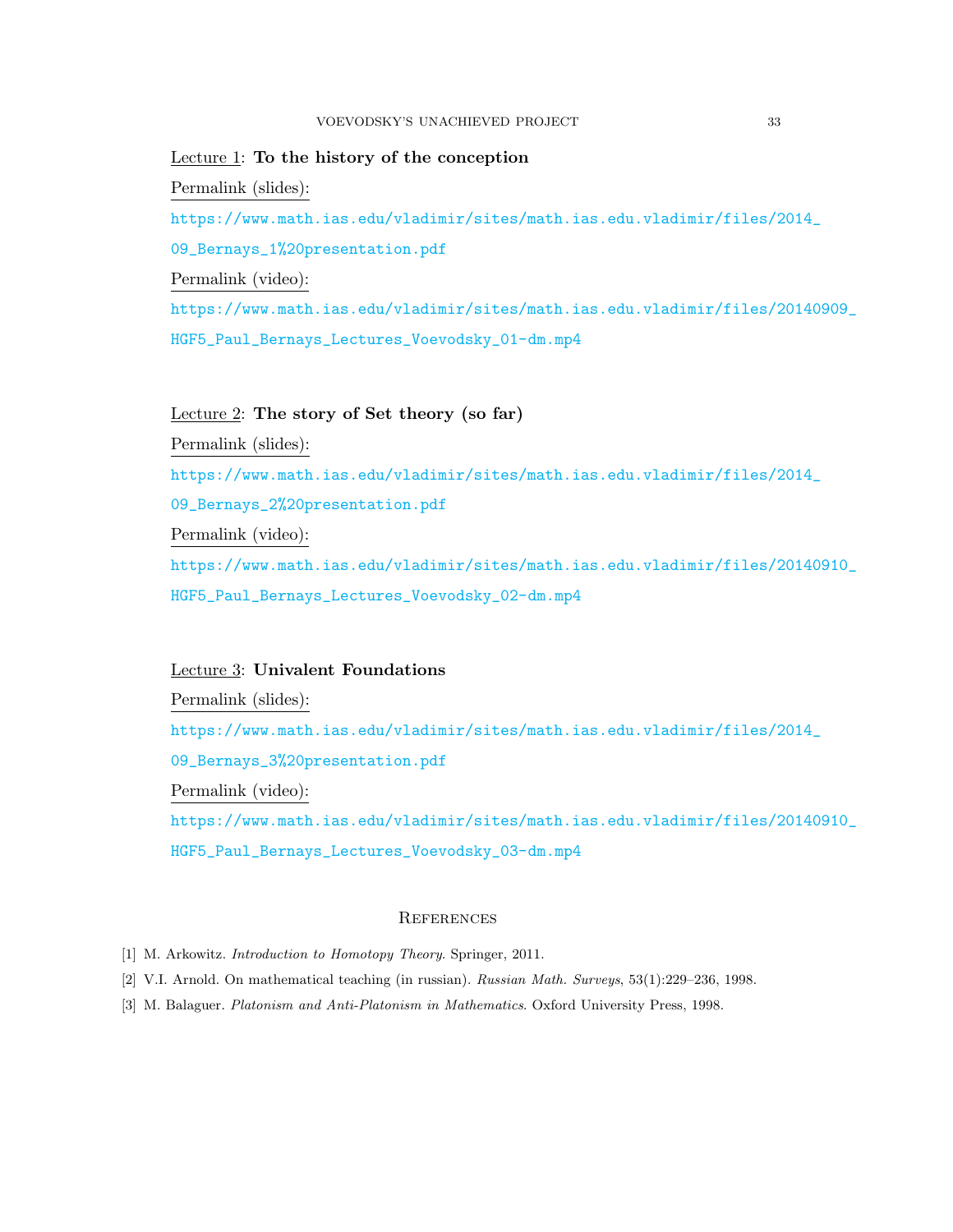Lecture 1: To the history of the conception Permalink (slides): [https://www.math.ias.edu/vladimir/sites/math.ias.edu.vladimir/files/2](https://www.math.ias.edu/vladimir/sites/math.ias.edu.vladimir/files/2014_09_Bernays_1%20presentation.pdf)014\_ [09\\_Bernays\\_1%20presentation.pdf](https://www.math.ias.edu/vladimir/sites/math.ias.edu.vladimir/files/2014_09_Bernays_1%20presentation.pdf) Permalink (video): [https://www.math.ias.edu/vladimir/sites/math.ias.edu.vladimir/files/2](https://www.math.ias.edu/vladimir/sites/math.ias.edu.vladimir/files/20140909_HGF5_Paul_Bernays_Lectures_Voevodsky_01-dm.mp4)0140909\_ [HGF5\\_Paul\\_Bernays\\_Lectures\\_Voevodsky\\_01-dm.mp4](https://www.math.ias.edu/vladimir/sites/math.ias.edu.vladimir/files/20140909_HGF5_Paul_Bernays_Lectures_Voevodsky_01-dm.mp4)

## Lecture 2: The story of Set theory (so far)

Permalink (slides): [https://www.math.ias.edu/vladimir/sites/math.ias.edu.vladimir/files/2](https://www.math.ias.edu/vladimir/sites/math.ias.edu.vladimir/files/2014_09_Bernays_2%20presentation.pdf)014\_ [09\\_Bernays\\_2%20presentation.pdf](https://www.math.ias.edu/vladimir/sites/math.ias.edu.vladimir/files/2014_09_Bernays_2%20presentation.pdf) Permalink (video): [https://www.math.ias.edu/vladimir/sites/math.ias.edu.vladimir/files/2](https://www.math.ias.edu/vladimir/sites/math.ias.edu.vladimir/files/20140910_HGF5_Paul_Bernays_Lectures_Voevodsky_02-dm.mp4)0140910\_ [HGF5\\_Paul\\_Bernays\\_Lectures\\_Voevodsky\\_02-dm.mp4](https://www.math.ias.edu/vladimir/sites/math.ias.edu.vladimir/files/20140910_HGF5_Paul_Bernays_Lectures_Voevodsky_02-dm.mp4)

## Lecture 3: Univalent Foundations

Permalink (slides):

[https://www.math.ias.edu/vladimir/sites/math.ias.edu.vladimir/files/2](https://www.math.ias.edu/vladimir/sites/math.ias.edu.vladimir/files/2014_09_Bernays_3%20presentation.pdf)014\_

[09\\_Bernays\\_3%20presentation.pdf](https://www.math.ias.edu/vladimir/sites/math.ias.edu.vladimir/files/2014_09_Bernays_3%20presentation.pdf)

Permalink (video):

[https://www.math.ias.edu/vladimir/sites/math.ias.edu.vladimir/files/2](https://www.math.ias.edu/vladimir/sites/math.ias.edu.vladimir/files/20140910_HGF5_Paul_Bernays_Lectures_Voevodsky_03-dm.mp4)0140910\_ [HGF5\\_Paul\\_Bernays\\_Lectures\\_Voevodsky\\_03-dm.mp4](https://www.math.ias.edu/vladimir/sites/math.ias.edu.vladimir/files/20140910_HGF5_Paul_Bernays_Lectures_Voevodsky_03-dm.mp4)

## **REFERENCES**

- <span id="page-32-2"></span>[1] M. Arkowitz. *Introduction to Homotopy Theory*. Springer, 2011.
- <span id="page-32-1"></span>[2] V.I. Arnold. On mathematical teaching (in russian). Russian Math. Surveys, 53(1):229–236, 1998.
- <span id="page-32-0"></span>[3] M. Balaguer. Platonism and Anti-Platonism in Mathematics. Oxford University Press, 1998.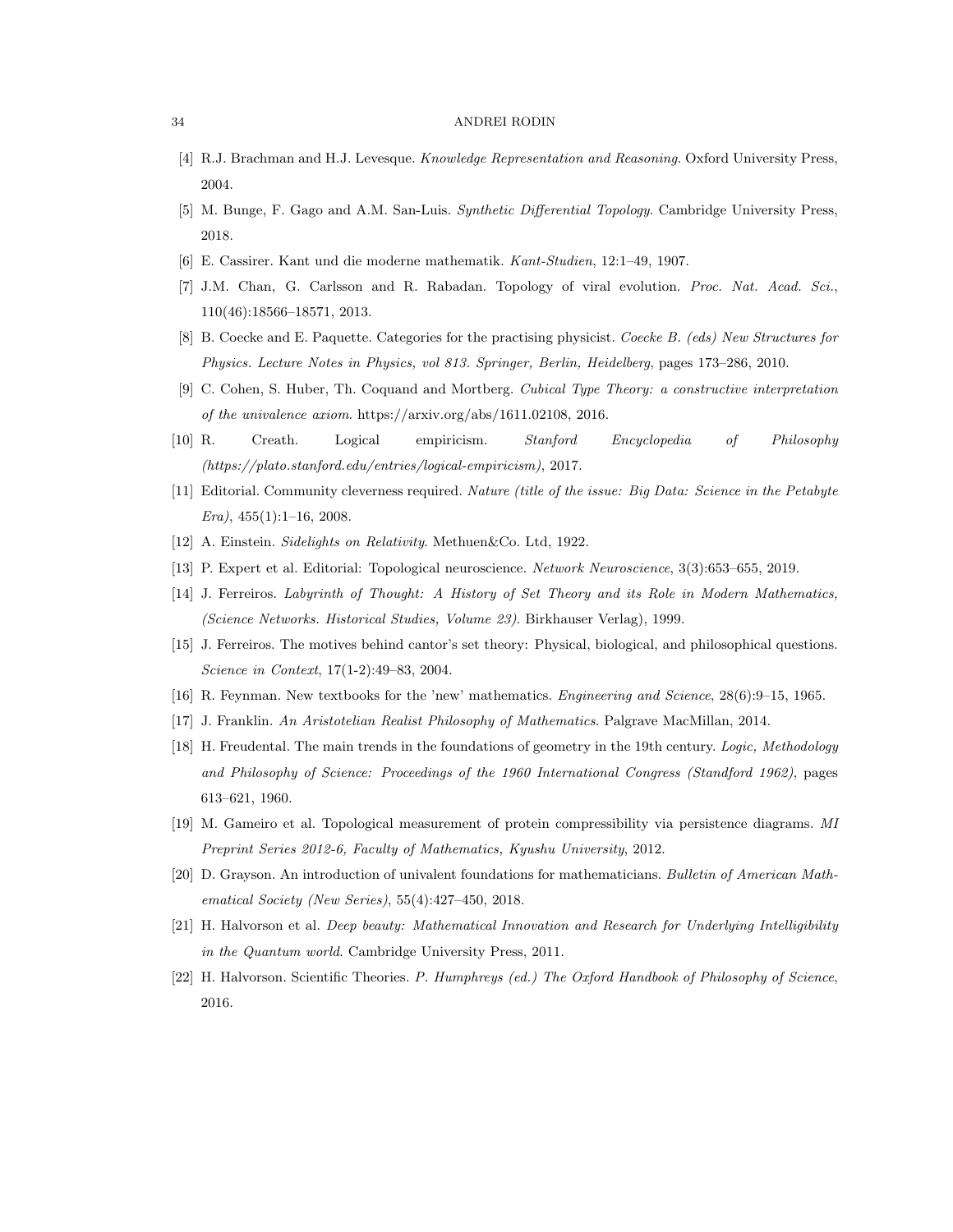- <span id="page-33-9"></span>[4] R.J. Brachman and H.J. Levesque. Knowledge Representation and Reasoning. Oxford University Press, 2004.
- <span id="page-33-10"></span>[5] M. Bunge, F. Gago and A.M. San-Luis. Synthetic Differential Topology. Cambridge University Press, 2018.
- <span id="page-33-17"></span><span id="page-33-14"></span>[6] E. Cassirer. Kant und die moderne mathematik. Kant-Studien, 12:1–49, 1907.
- [7] J.M. Chan, G. Carlsson and R. Rabadan. Topology of viral evolution. Proc. Nat. Acad. Sci., 110(46):18566–18571, 2013.
- <span id="page-33-11"></span>[8] B. Coecke and E. Paquette. Categories for the practising physicist. Coecke B. (eds) New Structures for Physics. Lecture Notes in Physics, vol 813. Springer, Berlin, Heidelberg, pages 173–286, 2010.
- <span id="page-33-18"></span>[9] C. Cohen, S. Huber, Th. Coquand and Mortberg. Cubical Type Theory: a constructive interpretation of the univalence axiom. https://arxiv.org/abs/1611.02108, 2016.
- <span id="page-33-4"></span>[10] R. Creath. Logical empiricism. Stanford Encyclopedia of Philosophy (https://plato.stanford.edu/entries/logical-empiricism), 2017.
- <span id="page-33-13"></span>[11] Editorial. Community cleverness required. Nature (title of the issue: Big Data: Science in the Petabyte  $Era$ , 455(1):1-16, 2008.
- <span id="page-33-3"></span>[12] A. Einstein. Sidelights on Relativity. Methuen&Co. Ltd, 1922.
- <span id="page-33-15"></span>[13] P. Expert et al. Editorial: Topological neuroscience. Network Neuroscience, 3(3):653–655, 2019.
- <span id="page-33-7"></span>[14] J. Ferreiros. Labyrinth of Thought: A History of Set Theory and its Role in Modern Mathematics, (Science Networks. Historical Studies, Volume 23). Birkhauser Verlag), 1999.
- <span id="page-33-6"></span>[15] J. Ferreiros. The motives behind cantor's set theory: Physical, biological, and philosophical questions. Science in Context, 17(1-2):49–83, 2004.
- <span id="page-33-5"></span>[16] R. Feynman. New textbooks for the 'new' mathematics. Engineering and Science, 28(6):9–15, 1965.
- <span id="page-33-1"></span>[17] J. Franklin. An Aristotelian Realist Philosophy of Mathematics. Palgrave MacMillan, 2014.
- <span id="page-33-2"></span>[18] H. Freudental. The main trends in the foundations of geometry in the 19th century. Logic, Methodology and Philosophy of Science: Proceedings of the 1960 International Congress (Standford 1962), pages 613–621, 1960.
- <span id="page-33-16"></span>[19] M. Gameiro et al. Topological measurement of protein compressibility via persistence diagrams. MI Preprint Series 2012-6, Faculty of Mathematics, Kyushu University, 2012.
- <span id="page-33-0"></span>[20] D. Grayson. An introduction of univalent foundations for mathematicians. Bulletin of American Mathematical Society (New Series), 55(4):427–450, 2018.
- <span id="page-33-12"></span>[21] H. Halvorson et al. Deep beauty: Mathematical Innovation and Research for Underlying Intelligibility in the Quantum world. Cambridge University Press, 2011.
- <span id="page-33-8"></span>[22] H. Halvorson. Scientific Theories. P. Humphreys (ed.) The Oxford Handbook of Philosophy of Science, 2016.